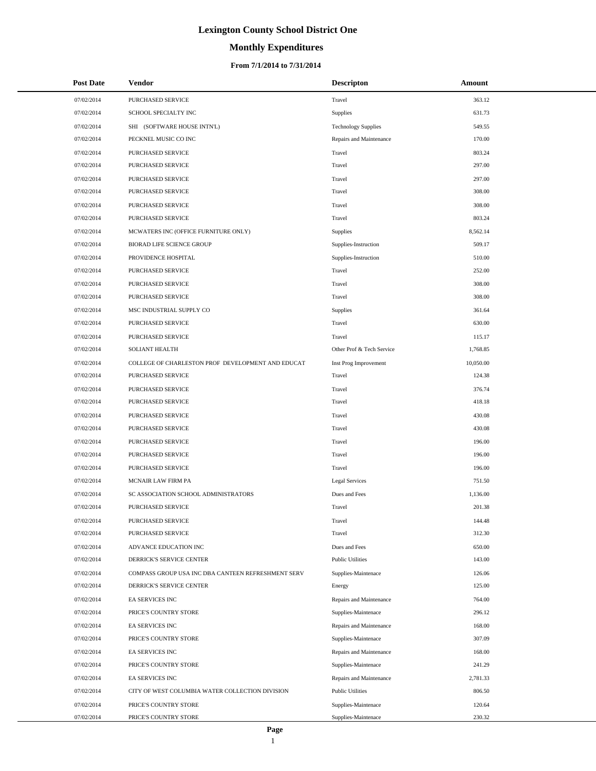# **Monthly Expenditures**

## **From 7/1/2014 to 7/31/2014**

| <b>Post Date</b> | Vendor                                             | <b>Descripton</b>          | <b>Amount</b> |  |
|------------------|----------------------------------------------------|----------------------------|---------------|--|
| 07/02/2014       | PURCHASED SERVICE                                  | Travel                     | 363.12        |  |
| 07/02/2014       | SCHOOL SPECIALTY INC                               | Supplies                   | 631.73        |  |
| 07/02/2014       | SHI (SOFTWARE HOUSE INTN'L)                        | <b>Technology Supplies</b> | 549.55        |  |
| 07/02/2014       | PECKNEL MUSIC CO INC                               | Repairs and Maintenance    | 170.00        |  |
| 07/02/2014       | PURCHASED SERVICE                                  | Travel                     | 803.24        |  |
| 07/02/2014       | PURCHASED SERVICE                                  | Travel                     | 297.00        |  |
| 07/02/2014       | PURCHASED SERVICE                                  | Travel                     | 297.00        |  |
| 07/02/2014       | PURCHASED SERVICE                                  | Travel                     | 308.00        |  |
| 07/02/2014       | PURCHASED SERVICE                                  | Travel                     | 308.00        |  |
| 07/02/2014       | PURCHASED SERVICE                                  | Travel                     | 803.24        |  |
| 07/02/2014       | MCWATERS INC (OFFICE FURNITURE ONLY)               | Supplies                   | 8,562.14      |  |
| 07/02/2014       | <b>BIORAD LIFE SCIENCE GROUP</b>                   | Supplies-Instruction       | 509.17        |  |
| 07/02/2014       | PROVIDENCE HOSPITAL                                | Supplies-Instruction       | 510.00        |  |
| 07/02/2014       | <b>PURCHASED SERVICE</b>                           | Travel                     | 252.00        |  |
| 07/02/2014       | PURCHASED SERVICE                                  | Travel                     | 308.00        |  |
| 07/02/2014       | PURCHASED SERVICE                                  | Travel                     | 308.00        |  |
| 07/02/2014       | MSC INDUSTRIAL SUPPLY CO                           | Supplies                   | 361.64        |  |
| 07/02/2014       | PURCHASED SERVICE                                  | Travel                     | 630.00        |  |
| 07/02/2014       | PURCHASED SERVICE                                  | Travel                     | 115.17        |  |
| 07/02/2014       | <b>SOLIANT HEALTH</b>                              | Other Prof & Tech Service  | 1,768.85      |  |
| 07/02/2014       | COLLEGE OF CHARLESTON PROF DEVELOPMENT AND EDUCAT  | Inst Prog Improvement      | 10,050.00     |  |
| 07/02/2014       | PURCHASED SERVICE                                  | Travel                     | 124.38        |  |
| 07/02/2014       | PURCHASED SERVICE                                  | Travel                     | 376.74        |  |
| 07/02/2014       | PURCHASED SERVICE                                  | Travel                     | 418.18        |  |
| 07/02/2014       | PURCHASED SERVICE                                  | Travel                     | 430.08        |  |
| 07/02/2014       | PURCHASED SERVICE                                  | Travel                     | 430.08        |  |
| 07/02/2014       | PURCHASED SERVICE                                  | Travel                     | 196.00        |  |
| 07/02/2014       | PURCHASED SERVICE                                  | Travel                     | 196.00        |  |
| 07/02/2014       | PURCHASED SERVICE                                  | Travel                     | 196.00        |  |
| 07/02/2014       | MCNAIR LAW FIRM PA                                 | <b>Legal Services</b>      | 751.50        |  |
| 07/02/2014       | SC ASSOCIATION SCHOOL ADMINISTRATORS               | Dues and Fees              | 1,136.00      |  |
| 07/02/2014       | PURCHASED SERVICE                                  | Travel                     | 201.38        |  |
| 07/02/2014       | PURCHASED SERVICE                                  | Travel                     | 144.48        |  |
| 07/02/2014       | PURCHASED SERVICE                                  | Travel                     | 312.30        |  |
| 07/02/2014       | ADVANCE EDUCATION INC                              | Dues and Fees              | 650.00        |  |
| 07/02/2014       | DERRICK'S SERVICE CENTER                           | <b>Public Utilities</b>    | 143.00        |  |
| 07/02/2014       | COMPASS GROUP USA INC DBA CANTEEN REFRESHMENT SERV | Supplies-Maintenace        | 126.06        |  |
| 07/02/2014       | DERRICK'S SERVICE CENTER                           | Energy                     | 125.00        |  |
| 07/02/2014       | EA SERVICES INC                                    | Repairs and Maintenance    | 764.00        |  |
| 07/02/2014       | PRICE'S COUNTRY STORE                              | Supplies-Maintenace        | 296.12        |  |
| 07/02/2014       | <b>EA SERVICES INC</b>                             | Repairs and Maintenance    | 168.00        |  |
| 07/02/2014       | PRICE'S COUNTRY STORE                              | Supplies-Maintenace        | 307.09        |  |
| 07/02/2014       | EA SERVICES INC                                    | Repairs and Maintenance    | 168.00        |  |
| 07/02/2014       | PRICE'S COUNTRY STORE                              | Supplies-Maintenace        | 241.29        |  |
| 07/02/2014       | EA SERVICES INC                                    | Repairs and Maintenance    | 2,781.33      |  |
| 07/02/2014       | CITY OF WEST COLUMBIA WATER COLLECTION DIVISION    | <b>Public Utilities</b>    | 806.50        |  |
| 07/02/2014       | PRICE'S COUNTRY STORE                              | Supplies-Maintenace        | 120.64        |  |
| 07/02/2014       | PRICE'S COUNTRY STORE                              | Supplies-Maintenace        | 230.32        |  |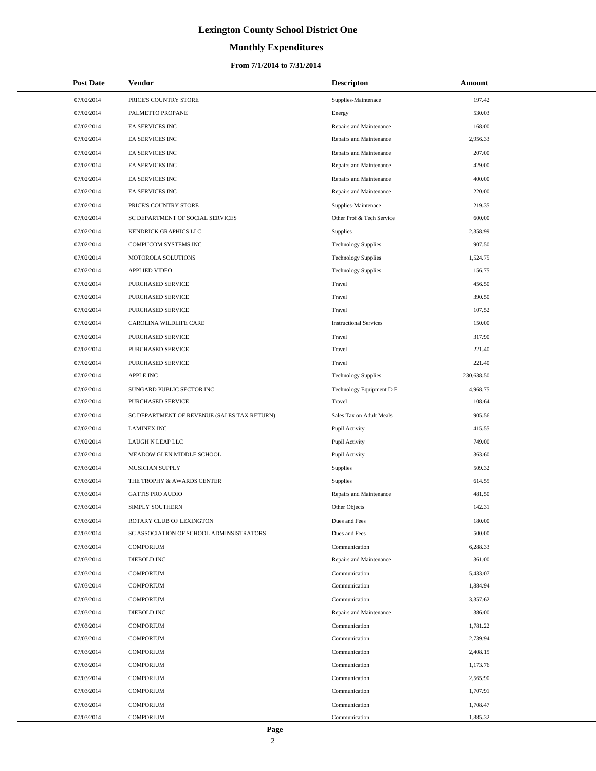# **Monthly Expenditures**

## **From 7/1/2014 to 7/31/2014**

| <b>Post Date</b> | Vendor                                      | <b>Descripton</b>             | <b>Amount</b> |
|------------------|---------------------------------------------|-------------------------------|---------------|
| 07/02/2014       | PRICE'S COUNTRY STORE                       | Supplies-Maintenace           | 197.42        |
| 07/02/2014       | PALMETTO PROPANE                            | Energy                        | 530.03        |
| 07/02/2014       | <b>EA SERVICES INC</b>                      | Repairs and Maintenance       | 168.00        |
| 07/02/2014       | EA SERVICES INC                             | Repairs and Maintenance       | 2,956.33      |
| 07/02/2014       | <b>EA SERVICES INC</b>                      | Repairs and Maintenance       | 207.00        |
| 07/02/2014       | EA SERVICES INC                             | Repairs and Maintenance       | 429.00        |
| 07/02/2014       | <b>EA SERVICES INC</b>                      | Repairs and Maintenance       | 400.00        |
| 07/02/2014       | <b>EA SERVICES INC</b>                      | Repairs and Maintenance       | 220.00        |
| 07/02/2014       | PRICE'S COUNTRY STORE                       | Supplies-Maintenace           | 219.35        |
| 07/02/2014       | SC DEPARTMENT OF SOCIAL SERVICES            | Other Prof & Tech Service     | 600.00        |
| 07/02/2014       | KENDRICK GRAPHICS LLC                       | Supplies                      | 2,358.99      |
| 07/02/2014       | COMPUCOM SYSTEMS INC                        | <b>Technology Supplies</b>    | 907.50        |
| 07/02/2014       | MOTOROLA SOLUTIONS                          | <b>Technology Supplies</b>    | 1,524.75      |
| 07/02/2014       | APPLIED VIDEO                               | <b>Technology Supplies</b>    | 156.75        |
| 07/02/2014       | PURCHASED SERVICE                           | Travel                        | 456.50        |
| 07/02/2014       | PURCHASED SERVICE                           | Travel                        | 390.50        |
| 07/02/2014       | PURCHASED SERVICE                           | Travel                        | 107.52        |
| 07/02/2014       | CAROLINA WILDLIFE CARE                      | <b>Instructional Services</b> | 150.00        |
| 07/02/2014       | PURCHASED SERVICE                           | Travel                        | 317.90        |
| 07/02/2014       | PURCHASED SERVICE                           | Travel                        | 221.40        |
| 07/02/2014       | PURCHASED SERVICE                           | Travel                        | 221.40        |
| 07/02/2014       | APPLE INC                                   | <b>Technology Supplies</b>    | 230,638.50    |
| 07/02/2014       | SUNGARD PUBLIC SECTOR INC                   | Technology Equipment D F      | 4,968.75      |
| 07/02/2014       | PURCHASED SERVICE                           | Travel                        | 108.64        |
| 07/02/2014       | SC DEPARTMENT OF REVENUE (SALES TAX RETURN) | Sales Tax on Adult Meals      | 905.56        |
| 07/02/2014       | <b>LAMINEX INC</b>                          | Pupil Activity                | 415.55        |
| 07/02/2014       | LAUGH N LEAP LLC                            | Pupil Activity                | 749.00        |
| 07/02/2014       | MEADOW GLEN MIDDLE SCHOOL                   | Pupil Activity                | 363.60        |
| 07/03/2014       | MUSICIAN SUPPLY                             | Supplies                      | 509.32        |
| 07/03/2014       | THE TROPHY & AWARDS CENTER                  | Supplies                      | 614.55        |
| 07/03/2014       | <b>GATTIS PRO AUDIO</b>                     | Repairs and Maintenance       | 481.50        |
| 07/03/2014       | SIMPLY SOUTHERN                             | Other Objects                 | 142.31        |
| 07/03/2014       | ROTARY CLUB OF LEXINGTON                    | Dues and Fees                 | 180.00        |
| 07/03/2014       | SC ASSOCIATION OF SCHOOL ADMINSISTRATORS    | Dues and Fees                 | 500.00        |
| 07/03/2014       | <b>COMPORIUM</b>                            | Communication                 | 6,288.33      |
| 07/03/2014       | DIEBOLD INC                                 | Repairs and Maintenance       | 361.00        |
| 07/03/2014       | <b>COMPORIUM</b>                            | Communication                 | 5,433.07      |
| 07/03/2014       | <b>COMPORIUM</b>                            | Communication                 | 1,884.94      |
| 07/03/2014       | <b>COMPORIUM</b>                            | Communication                 | 3,357.62      |
| 07/03/2014       | <b>DIEBOLD INC</b>                          | Repairs and Maintenance       | 386.00        |
| 07/03/2014       | <b>COMPORIUM</b>                            | Communication                 | 1,781.22      |
| 07/03/2014       | <b>COMPORIUM</b>                            | Communication                 | 2,739.94      |
| 07/03/2014       | <b>COMPORIUM</b>                            | Communication                 | 2,408.15      |
| 07/03/2014       | <b>COMPORIUM</b>                            | Communication                 | 1,173.76      |
| 07/03/2014       | <b>COMPORIUM</b>                            | Communication                 | 2,565.90      |
| 07/03/2014       | <b>COMPORIUM</b>                            | Communication                 | 1,707.91      |
| 07/03/2014       | <b>COMPORIUM</b>                            | Communication                 | 1,708.47      |
| 07/03/2014       | <b>COMPORIUM</b>                            | Communication                 | 1,885.32      |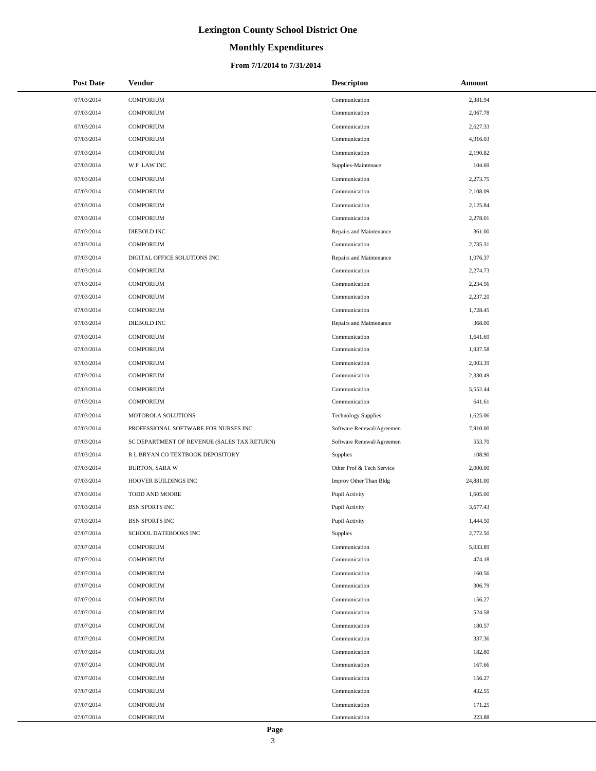# **Monthly Expenditures**

### **From 7/1/2014 to 7/31/2014**

| <b>Post Date</b> | <b>Vendor</b>                               | <b>Descripton</b>          | Amount    |
|------------------|---------------------------------------------|----------------------------|-----------|
| 07/03/2014       | <b>COMPORIUM</b>                            | Communication              | 2,381.94  |
| 07/03/2014       | <b>COMPORIUM</b>                            | Communication              | 2,067.78  |
| 07/03/2014       | <b>COMPORIUM</b>                            | Communication              | 2,627.33  |
| 07/03/2014       | <b>COMPORIUM</b>                            | Communication              | 4,916.03  |
| 07/03/2014       | <b>COMPORIUM</b>                            | Communication              | 2,190.82  |
| 07/03/2014       | WP LAW INC                                  | Supplies-Maintenace        | 104.69    |
| 07/03/2014       | <b>COMPORIUM</b>                            | Communication              | 2,273.75  |
| 07/03/2014       | <b>COMPORIUM</b>                            | Communication              | 2,108.09  |
| 07/03/2014       | <b>COMPORIUM</b>                            | Communication              | 2,125.84  |
| 07/03/2014       | <b>COMPORIUM</b>                            | Communication              | 2,278.01  |
| 07/03/2014       | DIEBOLD INC                                 | Repairs and Maintenance    | 361.00    |
| 07/03/2014       | <b>COMPORIUM</b>                            | Communication              | 2,735.31  |
| 07/03/2014       | DIGITAL OFFICE SOLUTIONS INC                | Repairs and Maintenance    | 1,076.37  |
| 07/03/2014       | <b>COMPORIUM</b>                            | Communication              | 2,274.73  |
| 07/03/2014       | <b>COMPORIUM</b>                            | Communication              | 2,234.56  |
| 07/03/2014       | <b>COMPORIUM</b>                            | Communication              | 2,237.20  |
| 07/03/2014       | <b>COMPORIUM</b>                            | Communication              | 1,728.45  |
| 07/03/2014       | DIEBOLD INC                                 | Repairs and Maintenance    | 368.00    |
| 07/03/2014       | <b>COMPORIUM</b>                            | Communication              | 1,641.69  |
| 07/03/2014       | <b>COMPORIUM</b>                            | Communication              | 1,937.58  |
| 07/03/2014       | <b>COMPORIUM</b>                            | Communication              | 2,003.39  |
| 07/03/2014       | <b>COMPORIUM</b>                            | Communication              | 2,330.49  |
| 07/03/2014       | <b>COMPORIUM</b>                            | Communication              | 5,552.44  |
| 07/03/2014       | <b>COMPORIUM</b>                            | Communication              | 641.61    |
| 07/03/2014       | MOTOROLA SOLUTIONS                          | <b>Technology Supplies</b> | 1,625.06  |
| 07/03/2014       | PROFESSIONAL SOFTWARE FOR NURSES INC        | Software Renewal/Agreemen  | 7,910.00  |
| 07/03/2014       | SC DEPARTMENT OF REVENUE (SALES TAX RETURN) | Software Renewal/Agreemen  | 553.70    |
| 07/03/2014       | R L BRYAN CO TEXTBOOK DEPOSITORY            | <b>Supplies</b>            | 108.90    |
| 07/03/2014       | <b>BURTON, SARA W</b>                       | Other Prof & Tech Service  | 2,000.00  |
| 07/03/2014       | HOOVER BUILDINGS INC                        | Improv Other Than Bldg     | 24,881.00 |
| 07/03/2014       | TODD AND MOORE                              | Pupil Activity             | 1,605.00  |
| 07/03/2014       | <b>BSN SPORTS INC</b>                       | Pupil Activity             | 3,677.43  |
| 07/03/2014       | <b>BSN SPORTS INC</b>                       | Pupil Activity             | 1,444.50  |
| 07/07/2014       | SCHOOL DATEBOOKS INC                        | Supplies                   | 2,772.50  |
| 07/07/2014       | <b>COMPORIUM</b>                            | Communication              | 5,033.89  |
| 07/07/2014       | <b>COMPORIUM</b>                            | Communication              | 474.18    |
| 07/07/2014       | <b>COMPORIUM</b>                            | Communication              | 160.56    |
| 07/07/2014       | <b>COMPORIUM</b>                            | Communication              | 306.79    |
| 07/07/2014       | <b>COMPORIUM</b>                            | Communication              | 156.27    |
| 07/07/2014       | <b>COMPORIUM</b>                            | Communication              | 524.58    |
| 07/07/2014       | <b>COMPORIUM</b>                            | Communication              | 180.57    |
| 07/07/2014       | <b>COMPORIUM</b>                            | Communication              | 337.36    |
| 07/07/2014       | <b>COMPORIUM</b>                            | Communication              | 182.80    |
| 07/07/2014       | <b>COMPORIUM</b>                            | Communication              | 167.66    |
| 07/07/2014       | <b>COMPORIUM</b>                            | Communication              | 156.27    |
| 07/07/2014       | <b>COMPORIUM</b>                            | Communication              | 432.55    |
| 07/07/2014       | <b>COMPORIUM</b>                            | Communication              | 171.25    |
| 07/07/2014       | <b>COMPORIUM</b>                            | Communication              | 223.88    |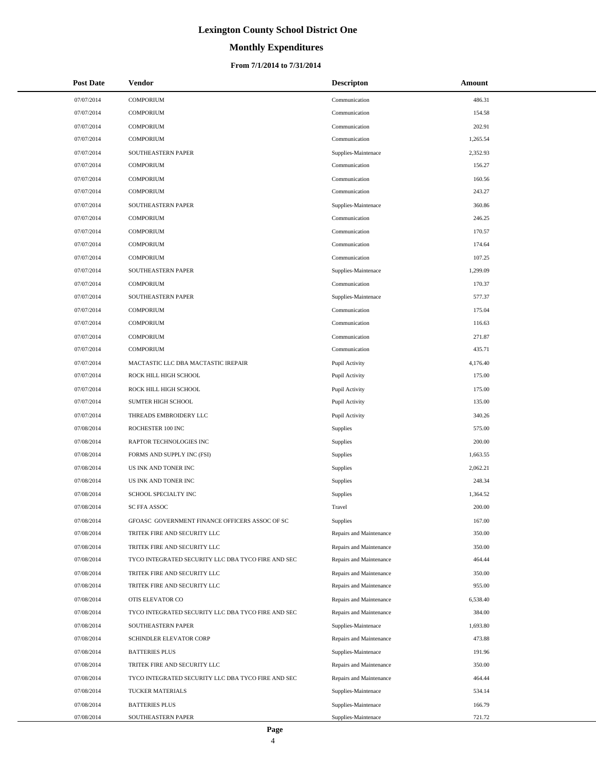# **Monthly Expenditures**

| <b>Post Date</b> | Vendor                                             | <b>Descripton</b>       | Amount   |
|------------------|----------------------------------------------------|-------------------------|----------|
| 07/07/2014       | <b>COMPORIUM</b>                                   | Communication           | 486.31   |
| 07/07/2014       | <b>COMPORIUM</b>                                   | Communication           | 154.58   |
| 07/07/2014       | <b>COMPORIUM</b>                                   | Communication           | 202.91   |
| 07/07/2014       | <b>COMPORIUM</b>                                   | Communication           | 1,265.54 |
| 07/07/2014       | SOUTHEASTERN PAPER                                 | Supplies-Maintenace     | 2,352.93 |
| 07/07/2014       | <b>COMPORIUM</b>                                   | Communication           | 156.27   |
| 07/07/2014       | <b>COMPORIUM</b>                                   | Communication           | 160.56   |
| 07/07/2014       | <b>COMPORIUM</b>                                   | Communication           | 243.27   |
| 07/07/2014       | SOUTHEASTERN PAPER                                 | Supplies-Maintenace     | 360.86   |
| 07/07/2014       | <b>COMPORIUM</b>                                   | Communication           | 246.25   |
| 07/07/2014       | <b>COMPORIUM</b>                                   | Communication           | 170.57   |
| 07/07/2014       | <b>COMPORIUM</b>                                   | Communication           | 174.64   |
| 07/07/2014       | <b>COMPORIUM</b>                                   | Communication           | 107.25   |
| 07/07/2014       | SOUTHEASTERN PAPER                                 | Supplies-Maintenace     | 1,299.09 |
| 07/07/2014       | <b>COMPORIUM</b>                                   | Communication           | 170.37   |
| 07/07/2014       | SOUTHEASTERN PAPER                                 | Supplies-Maintenace     | 577.37   |
| 07/07/2014       | <b>COMPORIUM</b>                                   | Communication           | 175.04   |
| 07/07/2014       | <b>COMPORIUM</b>                                   | Communication           | 116.63   |
| 07/07/2014       | <b>COMPORIUM</b>                                   | Communication           | 271.87   |
| 07/07/2014       | <b>COMPORIUM</b>                                   | Communication           | 435.71   |
| 07/07/2014       | MACTASTIC LLC DBA MACTASTIC IREPAIR                | Pupil Activity          | 4,176.40 |
| 07/07/2014       | ROCK HILL HIGH SCHOOL                              | Pupil Activity          | 175.00   |
| 07/07/2014       | ROCK HILL HIGH SCHOOL                              | Pupil Activity          | 175.00   |
| 07/07/2014       | SUMTER HIGH SCHOOL                                 | Pupil Activity          | 135.00   |
| 07/07/2014       | THREADS EMBROIDERY LLC                             | Pupil Activity          | 340.26   |
| 07/08/2014       | ROCHESTER 100 INC                                  | Supplies                | 575.00   |
| 07/08/2014       | RAPTOR TECHNOLOGIES INC                            | Supplies                | 200.00   |
| 07/08/2014       | FORMS AND SUPPLY INC (FSI)                         | Supplies                | 1,663.55 |
| 07/08/2014       | US INK AND TONER INC                               | Supplies                | 2,062.21 |
| 07/08/2014       | US INK AND TONER INC                               | Supplies                | 248.34   |
| 07/08/2014       | SCHOOL SPECIALTY INC                               | Supplies                | 1,364.52 |
| 07/08/2014       | <b>SC FFA ASSOC</b>                                | Travel                  | 200.00   |
| 07/08/2014       | GFOASC GOVERNMENT FINANCE OFFICERS ASSOC OF SC     | Supplies                | 167.00   |
| 07/08/2014       | TRITEK FIRE AND SECURITY LLC                       | Repairs and Maintenance | 350.00   |
| 07/08/2014       | TRITEK FIRE AND SECURITY LLC                       | Repairs and Maintenance | 350.00   |
| 07/08/2014       | TYCO INTEGRATED SECURITY LLC DBA TYCO FIRE AND SEC | Repairs and Maintenance | 464.44   |
| 07/08/2014       | TRITEK FIRE AND SECURITY LLC                       | Repairs and Maintenance | 350.00   |
| 07/08/2014       | TRITEK FIRE AND SECURITY LLC                       | Repairs and Maintenance | 955.00   |
| 07/08/2014       | OTIS ELEVATOR CO                                   | Repairs and Maintenance | 6,538.40 |
| 07/08/2014       | TYCO INTEGRATED SECURITY LLC DBA TYCO FIRE AND SEC | Repairs and Maintenance | 384.00   |
| 07/08/2014       | SOUTHEASTERN PAPER                                 | Supplies-Maintenace     | 1,693.80 |
| 07/08/2014       | SCHINDLER ELEVATOR CORP                            | Repairs and Maintenance | 473.88   |
| 07/08/2014       | <b>BATTERIES PLUS</b>                              | Supplies-Maintenace     | 191.96   |
| 07/08/2014       | TRITEK FIRE AND SECURITY LLC                       | Repairs and Maintenance | 350.00   |
| 07/08/2014       | TYCO INTEGRATED SECURITY LLC DBA TYCO FIRE AND SEC | Repairs and Maintenance | 464.44   |
| 07/08/2014       | TUCKER MATERIALS                                   | Supplies-Maintenace     | 534.14   |
| 07/08/2014       | <b>BATTERIES PLUS</b>                              | Supplies-Maintenace     | 166.79   |
| 07/08/2014       | SOUTHEASTERN PAPER                                 | Supplies-Maintenace     | 721.72   |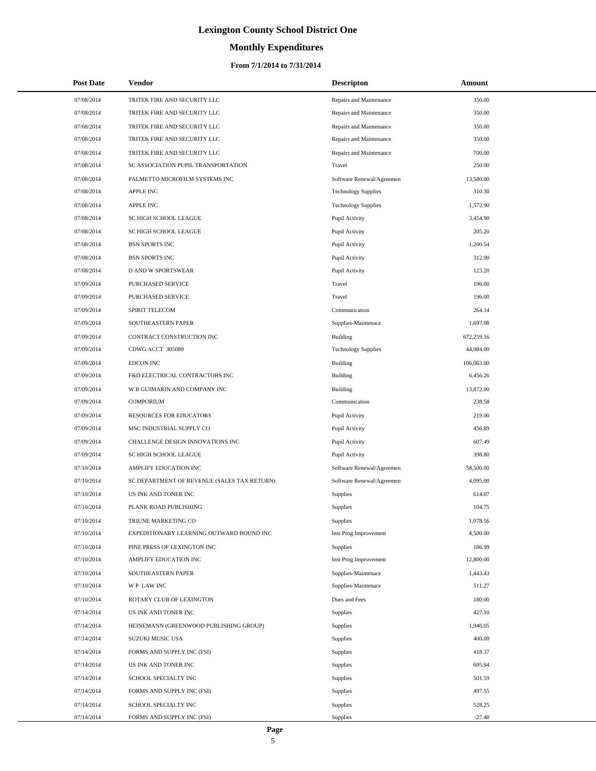# **Monthly Expenditures**

| <b>Post Date</b> | <b>Vendor</b>                               | <b>Descripton</b>          | <b>Amount</b> |
|------------------|---------------------------------------------|----------------------------|---------------|
| 07/08/2014       | TRITEK FIRE AND SECURITY LLC                | Repairs and Maintenance    | 350.00        |
| 07/08/2014       | TRITEK FIRE AND SECURITY LLC                | Repairs and Maintenance    | 350.00        |
| 07/08/2014       | TRITEK FIRE AND SECURITY LLC                | Repairs and Maintenance    | 350.00        |
| 07/08/2014       | TRITEK FIRE AND SECURITY LLC                | Repairs and Maintenance    | 350.00        |
| 07/08/2014       | TRITEK FIRE AND SECURITY LLC                | Repairs and Maintenance    | 700.00        |
| 07/08/2014       | SC ASSOCIATION PUPIL TRANSPORTATION         | Travel                     | 250.00        |
| 07/08/2014       | PALMETTO MICROFILM SYSTEMS INC              | Software Renewal/Agreemen  | 13,580.00     |
| 07/08/2014       | <b>APPLE INC</b>                            | <b>Technology Supplies</b> | 310.30        |
| 07/08/2014       | <b>APPLE INC</b>                            | <b>Technology Supplies</b> | 1,572.90      |
| 07/08/2014       | SC HIGH SCHOOL LEAGUE                       | Pupil Activity             | 3,454.90      |
| 07/08/2014       | SC HIGH SCHOOL LEAGUE                       | Pupil Activity             | 205.20        |
| 07/08/2014       | <b>BSN SPORTS INC</b>                       | Pupil Activity             | 1,200.54      |
| 07/08/2014       | <b>BSN SPORTS INC</b>                       | Pupil Activity             | 312.00        |
| 07/08/2014       | D AND W SPORTSWEAR                          | Pupil Activity             | 123.20        |
| 07/09/2014       | PURCHASED SERVICE                           | Travel                     | 196.00        |
| 07/09/2014       | PURCHASED SERVICE                           | Travel                     | 196.00        |
| 07/09/2014       | SPIRIT TELECOM                              | Communication              | 264.14        |
| 07/09/2014       | SOUTHEASTERN PAPER                          | Supplies-Maintenace        | 1,697.08      |
| 07/09/2014       | CONTRACT CONSTRUCTION INC                   | Building                   | 672,259.16    |
| 07/09/2014       | CDWG ACCT 305089                            | <b>Technology Supplies</b> | 44,084.00     |
| 07/09/2014       | <b>EDCON INC</b>                            | Building                   | 106,063.00    |
| 07/09/2014       | F&D ELECTRICAL CONTRACTORS INC              | <b>Building</b>            | 6,456.26      |
| 07/09/2014       | W B GUIMARIN AND COMPANY INC                | Building                   | 13,872.00     |
| 07/09/2014       | <b>COMPORIUM</b>                            | Communication              | 238.58        |
| 07/09/2014       | <b>RESOURCES FOR EDUCATORS</b>              | Pupil Activity             | 219.00        |
| 07/09/2014       | MSC INDUSTRIAL SUPPLY CO                    | Pupil Activity             | 456.89        |
| 07/09/2014       | CHALLENGE DESIGN INNOVATIONS INC            | Pupil Activity             | 607.49        |
| 07/09/2014       | SC HIGH SCHOOL LEAGUE                       | Pupil Activity             | 398.80        |
| 07/10/2014       | AMPLIFY EDUCATION INC                       | Software Renewal/Agreemen  | 58,500.00     |
| 07/10/2014       | SC DEPARTMENT OF REVENUE (SALES TAX RETURN) | Software Renewal/Agreemen  | 4,095.00      |
| 07/10/2014       | US INK AND TONER INC                        | Supplies                   | 614.07        |
| 07/10/2014       | PLANK ROAD PUBLISHING                       | <b>Supplies</b>            | 104.75        |
| 07/10/2014       | TRIUNE MARKETING CO                         | Supplies                   | 1,078.56      |
| 07/10/2014       | EXPEDITIONARY LEARNING OUTWARD BOUND INC    | Inst Prog Improvement      | 4,500.00      |
| 07/10/2014       | PINE PRESS OF LEXINGTON INC                 | Supplies                   | 186.99        |
| 07/10/2014       | AMPLIFY EDUCATION INC                       | Inst Prog Improvement      | 12,800.00     |
| 07/10/2014       | SOUTHEASTERN PAPER                          | Supplies-Maintenace        | 1,443.43      |
| 07/10/2014       | WP LAW INC                                  | Supplies-Maintenace        | 511.27        |
| 07/10/2014       | ROTARY CLUB OF LEXINGTON                    | Dues and Fees              | 180.00        |
| 07/14/2014       | US INK AND TONER INC                        | Supplies                   | 427.10        |
| 07/14/2014       | HEINEMANN (GREENWOOD PUBLISHING GROUP)      | Supplies                   | 1,946.05      |
| 07/14/2014       | SUZUKI MUSIC USA                            | Supplies                   | 400.00        |
| 07/14/2014       | FORMS AND SUPPLY INC (FSI)                  | Supplies                   | 418.37        |
| 07/14/2014       | US INK AND TONER INC                        | <b>Supplies</b>            | 695.94        |
| 07/14/2014       | SCHOOL SPECIALTY INC                        | Supplies                   | 501.59        |
| 07/14/2014       | FORMS AND SUPPLY INC (FSI)                  | <b>Supplies</b>            | 497.55        |
| 07/14/2014       | SCHOOL SPECIALTY INC                        | Supplies                   | 528.25        |
| 07/14/2014       | FORMS AND SUPPLY INC (FSI)                  | Supplies                   | $-27.40$      |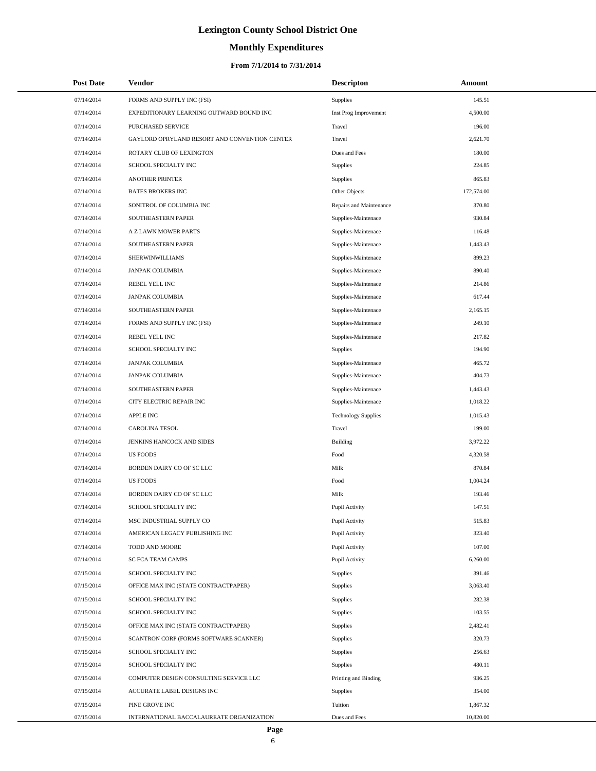# **Monthly Expenditures**

## **From 7/1/2014 to 7/31/2014**

| <b>Post Date</b> | Vendor                                        | <b>Descripton</b>          | Amount     |  |
|------------------|-----------------------------------------------|----------------------------|------------|--|
| 07/14/2014       | FORMS AND SUPPLY INC (FSI)                    | <b>Supplies</b>            | 145.51     |  |
| 07/14/2014       | EXPEDITIONARY LEARNING OUTWARD BOUND INC      | Inst Prog Improvement      | 4,500.00   |  |
| 07/14/2014       | PURCHASED SERVICE                             | Travel                     | 196.00     |  |
| 07/14/2014       | GAYLORD OPRYLAND RESORT AND CONVENTION CENTER | Travel                     | 2,621.70   |  |
| 07/14/2014       | ROTARY CLUB OF LEXINGTON                      | Dues and Fees              | 180.00     |  |
| 07/14/2014       | SCHOOL SPECIALTY INC                          | Supplies                   | 224.85     |  |
| 07/14/2014       | <b>ANOTHER PRINTER</b>                        | Supplies                   | 865.83     |  |
| 07/14/2014       | <b>BATES BROKERS INC</b>                      | Other Objects              | 172,574.00 |  |
| 07/14/2014       | SONITROL OF COLUMBIA INC                      | Repairs and Maintenance    | 370.80     |  |
| 07/14/2014       | SOUTHEASTERN PAPER                            | Supplies-Maintenace        | 930.84     |  |
| 07/14/2014       | A Z LAWN MOWER PARTS                          | Supplies-Maintenace        | 116.48     |  |
| 07/14/2014       | SOUTHEASTERN PAPER                            | Supplies-Maintenace        | 1,443.43   |  |
| 07/14/2014       | SHERWINWILLIAMS                               | Supplies-Maintenace        | 899.23     |  |
| 07/14/2014       | JANPAK COLUMBIA                               | Supplies-Maintenace        | 890.40     |  |
| 07/14/2014       | REBEL YELL INC                                | Supplies-Maintenace        | 214.86     |  |
| 07/14/2014       | <b>JANPAK COLUMBIA</b>                        | Supplies-Maintenace        | 617.44     |  |
| 07/14/2014       | SOUTHEASTERN PAPER                            | Supplies-Maintenace        | 2,165.15   |  |
| 07/14/2014       | FORMS AND SUPPLY INC (FSI)                    | Supplies-Maintenace        | 249.10     |  |
| 07/14/2014       | REBEL YELL INC                                | Supplies-Maintenace        | 217.82     |  |
| 07/14/2014       | SCHOOL SPECIALTY INC                          | Supplies                   | 194.90     |  |
| 07/14/2014       | <b>JANPAK COLUMBIA</b>                        | Supplies-Maintenace        | 465.72     |  |
| 07/14/2014       | JANPAK COLUMBIA                               | Supplies-Maintenace        | 404.73     |  |
| 07/14/2014       | SOUTHEASTERN PAPER                            | Supplies-Maintenace        | 1,443.43   |  |
| 07/14/2014       | CITY ELECTRIC REPAIR INC                      | Supplies-Maintenace        | 1,018.22   |  |
| 07/14/2014       | <b>APPLE INC</b>                              | <b>Technology Supplies</b> | 1,015.43   |  |
| 07/14/2014       | <b>CAROLINA TESOL</b>                         | Travel                     | 199.00     |  |
| 07/14/2014       | JENKINS HANCOCK AND SIDES                     | <b>Building</b>            | 3,972.22   |  |
| 07/14/2014       | <b>US FOODS</b>                               | Food                       | 4,320.58   |  |
| 07/14/2014       | BORDEN DAIRY CO OF SC LLC                     | Milk                       | 870.84     |  |
| 07/14/2014       | <b>US FOODS</b>                               | Food                       | 1,004.24   |  |
| 07/14/2014       | BORDEN DAIRY CO OF SC LLC                     | Milk                       | 193.46     |  |
| 07/14/2014       | SCHOOL SPECIALTY INC                          | Pupil Activity             | 147.51     |  |
| 07/14/2014       | MSC INDUSTRIAL SUPPLY CO                      | Pupil Activity             | 515.83     |  |
| 07/14/2014       | AMERICAN LEGACY PUBLISHING INC                | Pupil Activity             | 323.40     |  |
| 07/14/2014       | TODD AND MOORE                                | Pupil Activity             | 107.00     |  |
| 07/14/2014       | <b>SC FCA TEAM CAMPS</b>                      | Pupil Activity             | 6,260.00   |  |
| 07/15/2014       | SCHOOL SPECIALTY INC                          | Supplies                   | 391.46     |  |
| 07/15/2014       | OFFICE MAX INC (STATE CONTRACTPAPER)          | Supplies                   | 3,063.40   |  |
| 07/15/2014       | SCHOOL SPECIALTY INC                          | Supplies                   | 282.38     |  |
| 07/15/2014       | SCHOOL SPECIALTY INC                          | Supplies                   | 103.55     |  |
| 07/15/2014       | OFFICE MAX INC (STATE CONTRACTPAPER)          | Supplies                   | 2,482.41   |  |
| 07/15/2014       | SCANTRON CORP (FORMS SOFTWARE SCANNER)        | Supplies                   | 320.73     |  |
| 07/15/2014       | SCHOOL SPECIALTY INC                          | Supplies                   | 256.63     |  |
| 07/15/2014       | SCHOOL SPECIALTY INC                          | Supplies                   | 480.11     |  |
| 07/15/2014       | COMPUTER DESIGN CONSULTING SERVICE LLC        | Printing and Binding       | 936.25     |  |
| 07/15/2014       | ACCURATE LABEL DESIGNS INC                    | <b>Supplies</b>            | 354.00     |  |
| 07/15/2014       | PINE GROVE INC                                | Tuition                    | 1,867.32   |  |
| 07/15/2014       | INTERNATIONAL BACCALAUREATE ORGANIZATION      | Dues and Fees              | 10,820.00  |  |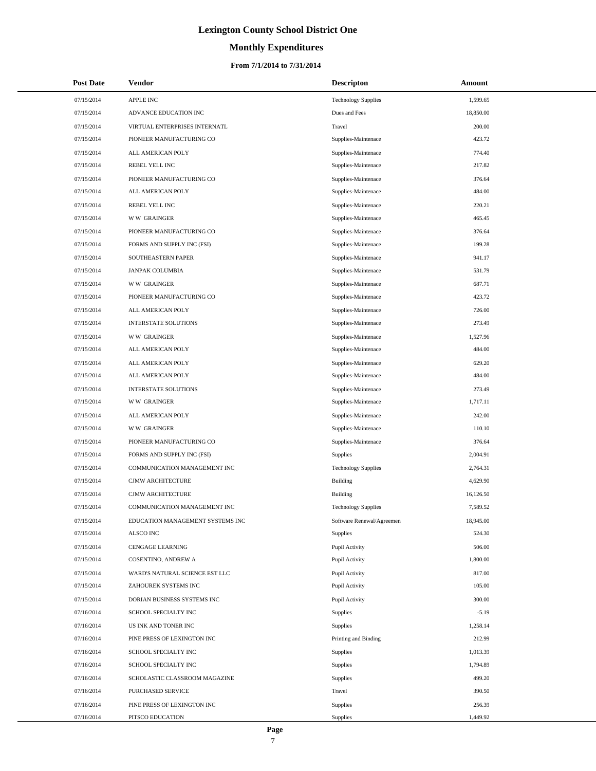# **Monthly Expenditures**

| <b>Post Date</b> | <b>Vendor</b>                    | <b>Descripton</b>          | Amount    |
|------------------|----------------------------------|----------------------------|-----------|
| 07/15/2014       | APPLE INC                        | <b>Technology Supplies</b> | 1,599.65  |
| 07/15/2014       | ADVANCE EDUCATION INC            | Dues and Fees              | 18,850.00 |
| 07/15/2014       | VIRTUAL ENTERPRISES INTERNATL    | Travel                     | 200.00    |
| 07/15/2014       | PIONEER MANUFACTURING CO         | Supplies-Maintenace        | 423.72    |
| 07/15/2014       | ALL AMERICAN POLY                | Supplies-Maintenace        | 774.40    |
| 07/15/2014       | REBEL YELL INC                   | Supplies-Maintenace        | 217.82    |
| 07/15/2014       | PIONEER MANUFACTURING CO         | Supplies-Maintenace        | 376.64    |
| 07/15/2014       | ALL AMERICAN POLY                | Supplies-Maintenace        | 484.00    |
| 07/15/2014       | REBEL YELL INC                   | Supplies-Maintenace        | 220.21    |
| 07/15/2014       | <b>WW GRAINGER</b>               | Supplies-Maintenace        | 465.45    |
| 07/15/2014       | PIONEER MANUFACTURING CO         | Supplies-Maintenace        | 376.64    |
| 07/15/2014       | FORMS AND SUPPLY INC (FSI)       | Supplies-Maintenace        | 199.28    |
| 07/15/2014       | SOUTHEASTERN PAPER               | Supplies-Maintenace        | 941.17    |
| 07/15/2014       | JANPAK COLUMBIA                  | Supplies-Maintenace        | 531.79    |
| 07/15/2014       | <b>WW GRAINGER</b>               | Supplies-Maintenace        | 687.71    |
| 07/15/2014       | PIONEER MANUFACTURING CO         | Supplies-Maintenace        | 423.72    |
| 07/15/2014       | ALL AMERICAN POLY                | Supplies-Maintenace        | 726.00    |
| 07/15/2014       | INTERSTATE SOLUTIONS             | Supplies-Maintenace        | 273.49    |
| 07/15/2014       | <b>WW GRAINGER</b>               | Supplies-Maintenace        | 1,527.96  |
| 07/15/2014       | ALL AMERICAN POLY                | Supplies-Maintenace        | 484.00    |
| 07/15/2014       | ALL AMERICAN POLY                | Supplies-Maintenace        | 629.20    |
| 07/15/2014       | ALL AMERICAN POLY                | Supplies-Maintenace        | 484.00    |
| 07/15/2014       | <b>INTERSTATE SOLUTIONS</b>      | Supplies-Maintenace        | 273.49    |
| 07/15/2014       | <b>WW GRAINGER</b>               | Supplies-Maintenace        | 1,717.11  |
| 07/15/2014       | ALL AMERICAN POLY                | Supplies-Maintenace        | 242.00    |
| 07/15/2014       | <b>WW GRAINGER</b>               | Supplies-Maintenace        | 110.10    |
| 07/15/2014       | PIONEER MANUFACTURING CO         | Supplies-Maintenace        | 376.64    |
| 07/15/2014       | FORMS AND SUPPLY INC (FSI)       | <b>Supplies</b>            | 2,004.91  |
| 07/15/2014       | COMMUNICATION MANAGEMENT INC     | <b>Technology Supplies</b> | 2,764.31  |
| 07/15/2014       | CJMW ARCHITECTURE                | Building                   | 4,629.90  |
| 07/15/2014       | <b>CJMW ARCHITECTURE</b>         | <b>Building</b>            | 16,126.50 |
| 07/15/2014       | COMMUNICATION MANAGEMENT INC     | <b>Technology Supplies</b> | 7,589.52  |
| 07/15/2014       | EDUCATION MANAGEMENT SYSTEMS INC | Software Renewal/Agreemen  | 18,945.00 |
| 07/15/2014       | ALSCO INC                        | Supplies                   | 524.30    |
| 07/15/2014       | CENGAGE LEARNING                 | Pupil Activity             | 506.00    |
| 07/15/2014       | COSENTINO, ANDREW A              | Pupil Activity             | 1,800.00  |
| 07/15/2014       | WARD'S NATURAL SCIENCE EST LLC   | Pupil Activity             | 817.00    |
| 07/15/2014       | ZAHOUREK SYSTEMS INC             | Pupil Activity             | 105.00    |
| 07/15/2014       | DORIAN BUSINESS SYSTEMS INC      | Pupil Activity             | 300.00    |
| 07/16/2014       | SCHOOL SPECIALTY INC             | Supplies                   | $-5.19$   |
| 07/16/2014       | US INK AND TONER INC             | Supplies                   | 1,258.14  |
| 07/16/2014       | PINE PRESS OF LEXINGTON INC      | Printing and Binding       | 212.99    |
| 07/16/2014       | SCHOOL SPECIALTY INC             | Supplies                   | 1,013.39  |
| 07/16/2014       | SCHOOL SPECIALTY INC             | Supplies                   | 1,794.89  |
| 07/16/2014       | SCHOLASTIC CLASSROOM MAGAZINE    | Supplies                   | 499.20    |
| 07/16/2014       | PURCHASED SERVICE                | Travel                     | 390.50    |
| 07/16/2014       | PINE PRESS OF LEXINGTON INC      | Supplies                   | 256.39    |
| 07/16/2014       | PITSCO EDUCATION                 | Supplies                   | 1,449.92  |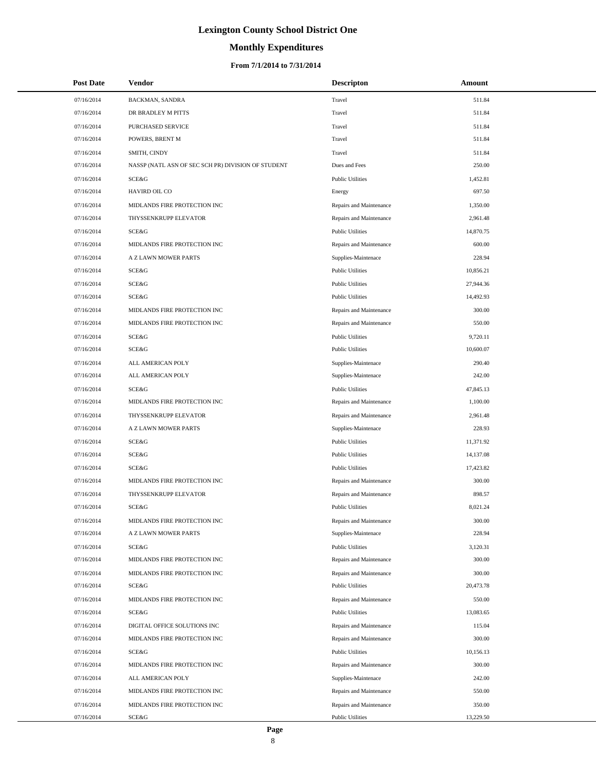# **Monthly Expenditures**

| <b>Post Date</b> | <b>Vendor</b>                                      | <b>Descripton</b>       | Amount    |
|------------------|----------------------------------------------------|-------------------------|-----------|
| 07/16/2014       | BACKMAN, SANDRA                                    | Travel                  | 511.84    |
| 07/16/2014       | DR BRADLEY M PITTS                                 | Travel                  | 511.84    |
| 07/16/2014       | PURCHASED SERVICE                                  | Travel                  | 511.84    |
| 07/16/2014       | POWERS, BRENT M                                    | Travel                  | 511.84    |
| 07/16/2014       | SMITH, CINDY                                       | Travel                  | 511.84    |
| 07/16/2014       | NASSP (NATL ASN OF SEC SCH PR) DIVISION OF STUDENT | Dues and Fees           | 250.00    |
| 07/16/2014       | SCE&G                                              | <b>Public Utilities</b> | 1,452.81  |
| 07/16/2014       | HAVIRD OIL CO                                      | Energy                  | 697.50    |
| 07/16/2014       | MIDLANDS FIRE PROTECTION INC                       | Repairs and Maintenance | 1,350.00  |
| 07/16/2014       | THYSSENKRUPP ELEVATOR                              | Repairs and Maintenance | 2,961.48  |
| 07/16/2014       | SCE&G                                              | <b>Public Utilities</b> | 14,870.75 |
| 07/16/2014       | MIDLANDS FIRE PROTECTION INC                       | Repairs and Maintenance | 600.00    |
| 07/16/2014       | A Z LAWN MOWER PARTS                               | Supplies-Maintenace     | 228.94    |
| 07/16/2014       | SCE&G                                              | <b>Public Utilities</b> | 10,856.21 |
| 07/16/2014       | SCE&G                                              | <b>Public Utilities</b> | 27,944.36 |
| 07/16/2014       | SCE&G                                              | <b>Public Utilities</b> | 14,492.93 |
| 07/16/2014       | MIDLANDS FIRE PROTECTION INC                       | Repairs and Maintenance | 300.00    |
| 07/16/2014       | MIDLANDS FIRE PROTECTION INC                       | Repairs and Maintenance | 550.00    |
| 07/16/2014       | SCE&G                                              | <b>Public Utilities</b> | 9,720.11  |
| 07/16/2014       | SCE&G                                              | <b>Public Utilities</b> | 10,600.07 |
| 07/16/2014       | ALL AMERICAN POLY                                  | Supplies-Maintenace     | 290.40    |
| 07/16/2014       | ALL AMERICAN POLY                                  | Supplies-Maintenace     | 242.00    |
| 07/16/2014       | SCE&G                                              | <b>Public Utilities</b> | 47,845.13 |
| 07/16/2014       | MIDLANDS FIRE PROTECTION INC                       | Repairs and Maintenance | 1,100.00  |
| 07/16/2014       | THYSSENKRUPP ELEVATOR                              | Repairs and Maintenance | 2,961.48  |
| 07/16/2014       | A Z LAWN MOWER PARTS                               | Supplies-Maintenace     | 228.93    |
| 07/16/2014       | SCE&G                                              | <b>Public Utilities</b> | 11,371.92 |
| 07/16/2014       | SCE&G                                              | <b>Public Utilities</b> | 14,137.08 |
| 07/16/2014       | SCE&G                                              | <b>Public Utilities</b> | 17,423.82 |
| 07/16/2014       | MIDLANDS FIRE PROTECTION INC                       | Repairs and Maintenance | 300.00    |
| 07/16/2014       | THYSSENKRUPP ELEVATOR                              | Repairs and Maintenance | 898.57    |
| 07/16/2014       | SCE&G                                              | <b>Public Utilities</b> | 8,021.24  |
| 07/16/2014       | MIDLANDS FIRE PROTECTION INC                       | Repairs and Maintenance | 300.00    |
| 07/16/2014       | A Z LAWN MOWER PARTS                               | Supplies-Maintenace     | 228.94    |
| 07/16/2014       | SCE&G                                              | <b>Public Utilities</b> | 3,120.31  |
| 07/16/2014       | MIDLANDS FIRE PROTECTION INC                       | Repairs and Maintenance | 300.00    |
| 07/16/2014       | MIDLANDS FIRE PROTECTION INC                       | Repairs and Maintenance | 300.00    |
| 07/16/2014       | SCE&G                                              | <b>Public Utilities</b> | 20,473.78 |
| 07/16/2014       | MIDLANDS FIRE PROTECTION INC                       | Repairs and Maintenance | 550.00    |
| 07/16/2014       | SCE&G                                              | <b>Public Utilities</b> | 13,083.65 |
| 07/16/2014       | DIGITAL OFFICE SOLUTIONS INC                       | Repairs and Maintenance | 115.04    |
| 07/16/2014       | MIDLANDS FIRE PROTECTION INC                       | Repairs and Maintenance | 300.00    |
| 07/16/2014       | SCE&G                                              | <b>Public Utilities</b> | 10,156.13 |
| 07/16/2014       | MIDLANDS FIRE PROTECTION INC                       | Repairs and Maintenance | 300.00    |
| 07/16/2014       | ALL AMERICAN POLY                                  | Supplies-Maintenace     | 242.00    |
| 07/16/2014       | MIDLANDS FIRE PROTECTION INC                       | Repairs and Maintenance | 550.00    |
| 07/16/2014       | MIDLANDS FIRE PROTECTION INC                       | Repairs and Maintenance | 350.00    |
| 07/16/2014       | SCE&G                                              | <b>Public Utilities</b> | 13,229.50 |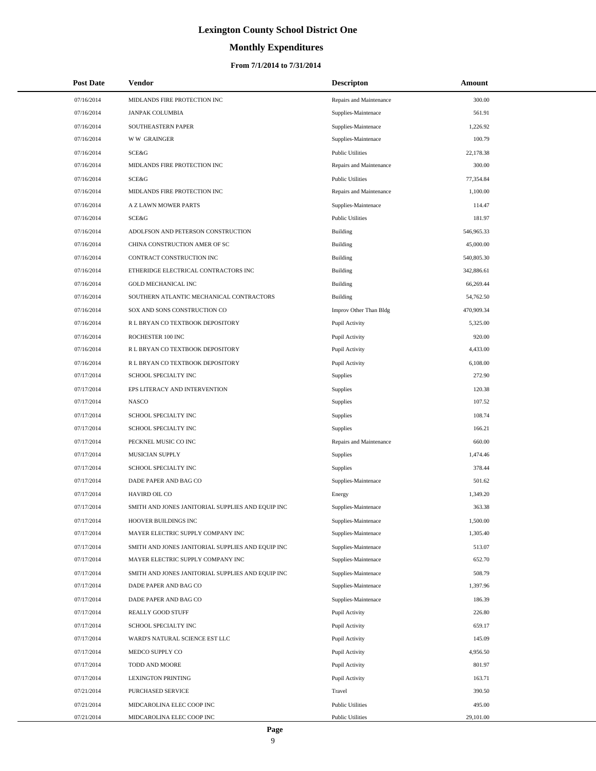# **Monthly Expenditures**

### **From 7/1/2014 to 7/31/2014**

| <b>Post Date</b> | <b>Vendor</b>                                     | <b>Descripton</b>       | Amount     |  |
|------------------|---------------------------------------------------|-------------------------|------------|--|
| 07/16/2014       | MIDLANDS FIRE PROTECTION INC                      | Repairs and Maintenance | 300.00     |  |
| 07/16/2014       | <b>JANPAK COLUMBIA</b>                            | Supplies-Maintenace     | 561.91     |  |
| 07/16/2014       | SOUTHEASTERN PAPER                                | Supplies-Maintenace     | 1,226.92   |  |
| 07/16/2014       | <b>WW GRAINGER</b>                                | Supplies-Maintenace     | 100.79     |  |
| 07/16/2014       | SCE&G                                             | <b>Public Utilities</b> | 22,178.38  |  |
| 07/16/2014       | MIDLANDS FIRE PROTECTION INC                      | Repairs and Maintenance | 300.00     |  |
| 07/16/2014       | <b>SCE&amp;G</b>                                  | <b>Public Utilities</b> | 77,354.84  |  |
| 07/16/2014       | MIDLANDS FIRE PROTECTION INC                      | Repairs and Maintenance | 1,100.00   |  |
| 07/16/2014       | A Z LAWN MOWER PARTS                              | Supplies-Maintenace     | 114.47     |  |
| 07/16/2014       | SCE&G                                             | <b>Public Utilities</b> | 181.97     |  |
| 07/16/2014       | ADOLFSON AND PETERSON CONSTRUCTION                | <b>Building</b>         | 546,965.33 |  |
| 07/16/2014       | CHINA CONSTRUCTION AMER OF SC                     | <b>Building</b>         | 45,000.00  |  |
| 07/16/2014       | CONTRACT CONSTRUCTION INC                         | <b>Building</b>         | 540,805.30 |  |
| 07/16/2014       | ETHERIDGE ELECTRICAL CONTRACTORS INC              | <b>Building</b>         | 342,886.61 |  |
| 07/16/2014       | <b>GOLD MECHANICAL INC</b>                        | <b>Building</b>         | 66,269.44  |  |
| 07/16/2014       | SOUTHERN ATLANTIC MECHANICAL CONTRACTORS          | Building                | 54,762.50  |  |
| 07/16/2014       | SOX AND SONS CONSTRUCTION CO                      | Improv Other Than Bldg  | 470,909.34 |  |
| 07/16/2014       | R L BRYAN CO TEXTBOOK DEPOSITORY                  | Pupil Activity          | 5,325.00   |  |
| 07/16/2014       | ROCHESTER 100 INC                                 | Pupil Activity          | 920.00     |  |
| 07/16/2014       | R L BRYAN CO TEXTBOOK DEPOSITORY                  | Pupil Activity          | 4,433.00   |  |
| 07/16/2014       | R L BRYAN CO TEXTBOOK DEPOSITORY                  | Pupil Activity          | 6,108.00   |  |
| 07/17/2014       | SCHOOL SPECIALTY INC                              | <b>Supplies</b>         | 272.90     |  |
| 07/17/2014       | EPS LITERACY AND INTERVENTION                     | Supplies                | 120.38     |  |
| 07/17/2014       | <b>NASCO</b>                                      | Supplies                | 107.52     |  |
| 07/17/2014       | SCHOOL SPECIALTY INC                              | Supplies                | 108.74     |  |
| 07/17/2014       | SCHOOL SPECIALTY INC                              | Supplies                | 166.21     |  |
| 07/17/2014       | PECKNEL MUSIC CO INC                              | Repairs and Maintenance | 660.00     |  |
| 07/17/2014       | MUSICIAN SUPPLY                                   | Supplies                | 1,474.46   |  |
| 07/17/2014       | SCHOOL SPECIALTY INC                              | Supplies                | 378.44     |  |
| 07/17/2014       | DADE PAPER AND BAG CO                             | Supplies-Maintenace     | 501.62     |  |
| 07/17/2014       | HAVIRD OIL CO                                     | Energy                  | 1,349.20   |  |
| 07/17/2014       | SMITH AND JONES JANITORIAL SUPPLIES AND EQUIP INC | Supplies-Maintenace     | 363.38     |  |
| 07/17/2014       | HOOVER BUILDINGS INC                              | Supplies-Maintenace     | 1,500.00   |  |
| 07/17/2014       | MAYER ELECTRIC SUPPLY COMPANY INC                 | Supplies-Maintenace     | 1,305.40   |  |
| 07/17/2014       | SMITH AND JONES JANITORIAL SUPPLIES AND EQUIP INC | Supplies-Maintenace     | 513.07     |  |
| 07/17/2014       | MAYER ELECTRIC SUPPLY COMPANY INC                 | Supplies-Maintenace     | 652.70     |  |
| 07/17/2014       | SMITH AND JONES JANITORIAL SUPPLIES AND EQUIP INC | Supplies-Maintenace     | 508.79     |  |
| 07/17/2014       | DADE PAPER AND BAG CO                             | Supplies-Maintenace     | 1,397.96   |  |
| 07/17/2014       | DADE PAPER AND BAG CO                             | Supplies-Maintenace     | 186.39     |  |
| 07/17/2014       | REALLY GOOD STUFF                                 | Pupil Activity          | 226.80     |  |
| 07/17/2014       | SCHOOL SPECIALTY INC                              | Pupil Activity          | 659.17     |  |
| 07/17/2014       | WARD'S NATURAL SCIENCE EST LLC                    | Pupil Activity          | 145.09     |  |
| 07/17/2014       | MEDCO SUPPLY CO                                   | Pupil Activity          | 4,956.50   |  |
| 07/17/2014       | TODD AND MOORE                                    | Pupil Activity          | 801.97     |  |
| 07/17/2014       | <b>LEXINGTON PRINTING</b>                         | Pupil Activity          | 163.71     |  |
| 07/21/2014       | PURCHASED SERVICE                                 | Travel                  | 390.50     |  |
| 07/21/2014       | MIDCAROLINA ELEC COOP INC                         | <b>Public Utilities</b> | 495.00     |  |
| 07/21/2014       | MIDCAROLINA ELEC COOP INC                         | <b>Public Utilities</b> | 29,101.00  |  |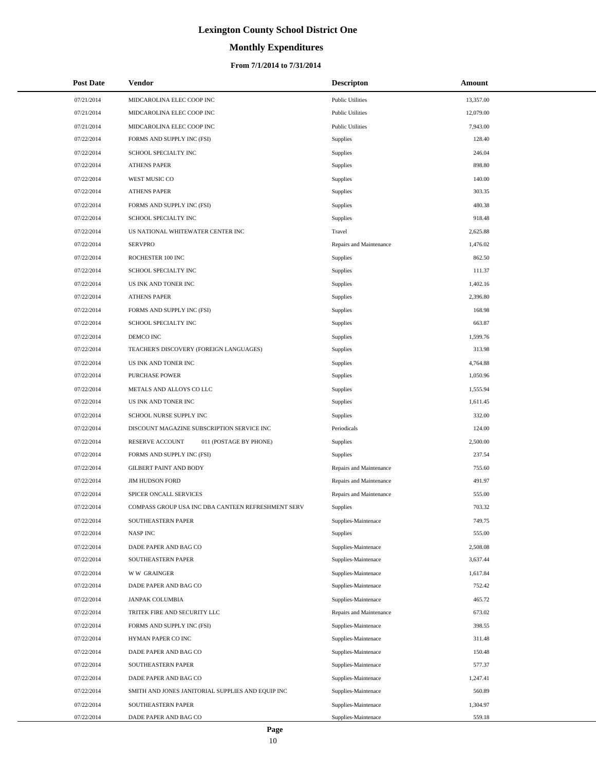# **Monthly Expenditures**

## **From 7/1/2014 to 7/31/2014**

| <b>Post Date</b> | <b>Vendor</b>                                      | <b>Descripton</b>       | Amount    |
|------------------|----------------------------------------------------|-------------------------|-----------|
| 07/21/2014       | MIDCAROLINA ELEC COOP INC                          | <b>Public Utilities</b> | 13,357.00 |
| 07/21/2014       | MIDCAROLINA ELEC COOP INC                          | <b>Public Utilities</b> | 12,079.00 |
| 07/21/2014       | MIDCAROLINA ELEC COOP INC                          | <b>Public Utilities</b> | 7,943.00  |
| 07/22/2014       | FORMS AND SUPPLY INC (FSI)                         | Supplies                | 128.40    |
| 07/22/2014       | SCHOOL SPECIALTY INC                               | Supplies                | 246.04    |
| 07/22/2014       | <b>ATHENS PAPER</b>                                | Supplies                | 898.80    |
| 07/22/2014       | WEST MUSIC CO                                      | Supplies                | 140.00    |
| 07/22/2014       | <b>ATHENS PAPER</b>                                | Supplies                | 303.35    |
| 07/22/2014       | FORMS AND SUPPLY INC (FSI)                         | Supplies                | 480.38    |
| 07/22/2014       | SCHOOL SPECIALTY INC                               | Supplies                | 918.48    |
| 07/22/2014       | US NATIONAL WHITEWATER CENTER INC                  | Travel                  | 2,625.88  |
| 07/22/2014       | <b>SERVPRO</b>                                     | Repairs and Maintenance | 1,476.02  |
| 07/22/2014       | ROCHESTER 100 INC                                  | Supplies                | 862.50    |
| 07/22/2014       | SCHOOL SPECIALTY INC                               | Supplies                | 111.37    |
| 07/22/2014       | US INK AND TONER INC                               | Supplies                | 1,402.16  |
| 07/22/2014       | <b>ATHENS PAPER</b>                                | Supplies                | 2,396.80  |
| 07/22/2014       | FORMS AND SUPPLY INC (FSI)                         | Supplies                | 168.98    |
| 07/22/2014       | SCHOOL SPECIALTY INC                               | Supplies                | 663.87    |
| 07/22/2014       | DEMCO INC                                          | Supplies                | 1,599.76  |
| 07/22/2014       | TEACHER'S DISCOVERY (FOREIGN LANGUAGES)            | Supplies                | 313.98    |
| 07/22/2014       | US INK AND TONER INC                               | Supplies                | 4,764.88  |
| 07/22/2014       | <b>PURCHASE POWER</b>                              | Supplies                | 1,050.96  |
| 07/22/2014       | METALS AND ALLOYS CO LLC                           | Supplies                | 1,555.94  |
| 07/22/2014       | US INK AND TONER INC                               | Supplies                | 1,611.45  |
| 07/22/2014       | SCHOOL NURSE SUPPLY INC                            | Supplies                | 332.00    |
| 07/22/2014       | DISCOUNT MAGAZINE SUBSCRIPTION SERVICE INC         | Periodicals             | 124.00    |
| 07/22/2014       | RESERVE ACCOUNT<br>011 (POSTAGE BY PHONE)          | Supplies                | 2,500.00  |
| 07/22/2014       | FORMS AND SUPPLY INC (FSI)                         | Supplies                | 237.54    |
| 07/22/2014       | <b>GILBERT PAINT AND BODY</b>                      | Repairs and Maintenance | 755.60    |
| 07/22/2014       | <b>JIM HUDSON FORD</b>                             | Repairs and Maintenance | 491.97    |
| 07/22/2014       | SPICER ONCALL SERVICES                             | Repairs and Maintenance | 555.00    |
| 07/22/2014       | COMPASS GROUP USA INC DBA CANTEEN REFRESHMENT SERV | Supplies                | 703.32    |
| 07/22/2014       | SOUTHEASTERN PAPER                                 | Supplies-Maintenace     | 749.75    |
| 07/22/2014       | <b>NASPINC</b>                                     | Supplies                | 555.00    |
| 07/22/2014       | DADE PAPER AND BAG CO                              | Supplies-Maintenace     | 2,508.08  |
| 07/22/2014       | SOUTHEASTERN PAPER                                 | Supplies-Maintenace     | 3,637.44  |
| 07/22/2014       | <b>WW GRAINGER</b>                                 | Supplies-Maintenace     | 1,617.84  |
| 07/22/2014       | DADE PAPER AND BAG CO                              | Supplies-Maintenace     | 752.42    |
| 07/22/2014       | <b>JANPAK COLUMBIA</b>                             | Supplies-Maintenace     | 465.72    |
| 07/22/2014       | TRITEK FIRE AND SECURITY LLC                       | Repairs and Maintenance | 673.02    |
| 07/22/2014       | FORMS AND SUPPLY INC (FSI)                         | Supplies-Maintenace     | 398.55    |
| 07/22/2014       | HYMAN PAPER CO INC                                 | Supplies-Maintenace     | 311.48    |
| 07/22/2014       | DADE PAPER AND BAG CO                              | Supplies-Maintenace     | 150.48    |
| 07/22/2014       | SOUTHEASTERN PAPER                                 | Supplies-Maintenace     | 577.37    |
| 07/22/2014       | DADE PAPER AND BAG CO                              | Supplies-Maintenace     | 1,247.41  |
| 07/22/2014       | SMITH AND JONES JANITORIAL SUPPLIES AND EQUIP INC  | Supplies-Maintenace     | 560.89    |
| 07/22/2014       | SOUTHEASTERN PAPER                                 | Supplies-Maintenace     | 1,304.97  |
| 07/22/2014       | DADE PAPER AND BAG CO                              | Supplies-Maintenace     | 559.18    |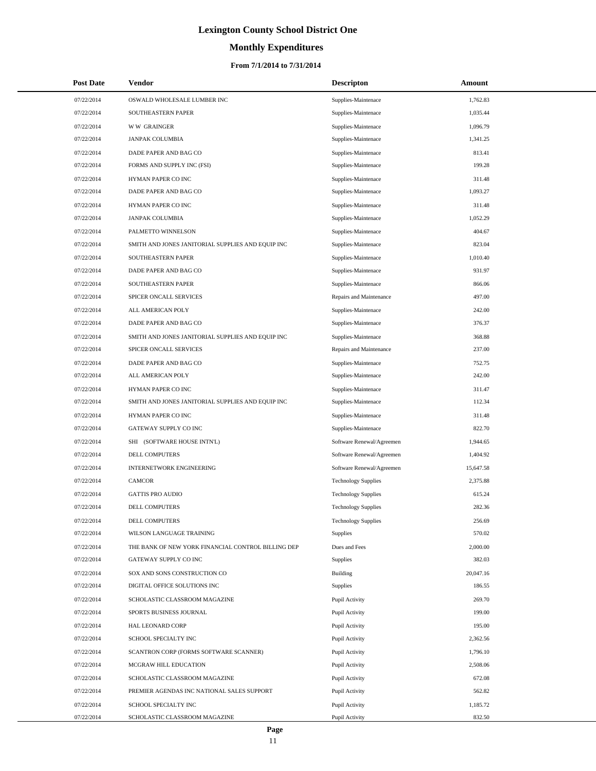# **Monthly Expenditures**

## **From 7/1/2014 to 7/31/2014**

| <b>Post Date</b> | Vendor                                             | <b>Descripton</b>          | Amount    |  |
|------------------|----------------------------------------------------|----------------------------|-----------|--|
| 07/22/2014       | OSWALD WHOLESALE LUMBER INC                        | Supplies-Maintenace        | 1,762.83  |  |
| 07/22/2014       | SOUTHEASTERN PAPER                                 | Supplies-Maintenace        | 1,035.44  |  |
| 07/22/2014       | <b>WW GRAINGER</b>                                 | Supplies-Maintenace        | 1,096.79  |  |
| 07/22/2014       | <b>JANPAK COLUMBIA</b>                             | Supplies-Maintenace        | 1,341.25  |  |
| 07/22/2014       | DADE PAPER AND BAG CO                              | Supplies-Maintenace        | 813.41    |  |
| 07/22/2014       | FORMS AND SUPPLY INC (FSI)                         | Supplies-Maintenace        | 199.28    |  |
| 07/22/2014       | HYMAN PAPER CO INC                                 | Supplies-Maintenace        | 311.48    |  |
| 07/22/2014       | DADE PAPER AND BAG CO                              | Supplies-Maintenace        | 1,093.27  |  |
| 07/22/2014       | HYMAN PAPER CO INC                                 | Supplies-Maintenace        | 311.48    |  |
| 07/22/2014       | <b>JANPAK COLUMBIA</b>                             | Supplies-Maintenace        | 1,052.29  |  |
| 07/22/2014       | PALMETTO WINNELSON                                 | Supplies-Maintenace        | 404.67    |  |
| 07/22/2014       | SMITH AND JONES JANITORIAL SUPPLIES AND EQUIP INC  | Supplies-Maintenace        | 823.04    |  |
| 07/22/2014       | SOUTHEASTERN PAPER                                 | Supplies-Maintenace        | 1,010.40  |  |
| 07/22/2014       | DADE PAPER AND BAG CO                              | Supplies-Maintenace        | 931.97    |  |
| 07/22/2014       | SOUTHEASTERN PAPER                                 | Supplies-Maintenace        | 866.06    |  |
| 07/22/2014       | SPICER ONCALL SERVICES                             | Repairs and Maintenance    | 497.00    |  |
| 07/22/2014       | ALL AMERICAN POLY                                  | Supplies-Maintenace        | 242.00    |  |
| 07/22/2014       | DADE PAPER AND BAG CO                              | Supplies-Maintenace        | 376.37    |  |
| 07/22/2014       | SMITH AND JONES JANITORIAL SUPPLIES AND EQUIP INC  | Supplies-Maintenace        | 368.88    |  |
| 07/22/2014       | SPICER ONCALL SERVICES                             | Repairs and Maintenance    | 237.00    |  |
| 07/22/2014       | DADE PAPER AND BAG CO                              | Supplies-Maintenace        | 752.75    |  |
| 07/22/2014       | ALL AMERICAN POLY                                  | Supplies-Maintenace        | 242.00    |  |
| 07/22/2014       | HYMAN PAPER CO INC                                 | Supplies-Maintenace        | 311.47    |  |
| 07/22/2014       | SMITH AND JONES JANITORIAL SUPPLIES AND EQUIP INC  | Supplies-Maintenace        | 112.34    |  |
| 07/22/2014       | HYMAN PAPER CO INC                                 | Supplies-Maintenace        | 311.48    |  |
| 07/22/2014       | GATEWAY SUPPLY CO INC                              | Supplies-Maintenace        | 822.70    |  |
| 07/22/2014       | SHI (SOFTWARE HOUSE INTN'L)                        | Software Renewal/Agreemen  | 1,944.65  |  |
| 07/22/2014       | DELL COMPUTERS                                     | Software Renewal/Agreemen  | 1,404.92  |  |
| 07/22/2014       | <b>INTERNETWORK ENGINEERING</b>                    | Software Renewal/Agreemen  | 15,647.58 |  |
| 07/22/2014       | <b>CAMCOR</b>                                      | <b>Technology Supplies</b> | 2,375.88  |  |
| 07/22/2014       | <b>GATTIS PRO AUDIO</b>                            | <b>Technology Supplies</b> | 615.24    |  |
| 07/22/2014       | DELL COMPUTERS                                     | <b>Technology Supplies</b> | 282.36    |  |
| 07/22/2014       | DELL COMPUTERS                                     | <b>Technology Supplies</b> | 256.69    |  |
| 07/22/2014       | WILSON LANGUAGE TRAINING                           | Supplies                   | 570.02    |  |
| 07/22/2014       | THE BANK OF NEW YORK FINANCIAL CONTROL BILLING DEP | Dues and Fees              | 2,000.00  |  |
| 07/22/2014       | GATEWAY SUPPLY CO INC                              | <b>Supplies</b>            | 382.03    |  |
| 07/22/2014       | SOX AND SONS CONSTRUCTION CO                       | Building                   | 20,047.16 |  |
| 07/22/2014       | DIGITAL OFFICE SOLUTIONS INC                       | <b>Supplies</b>            | 186.55    |  |
| 07/22/2014       | SCHOLASTIC CLASSROOM MAGAZINE                      | Pupil Activity             | 269.70    |  |
| 07/22/2014       | SPORTS BUSINESS JOURNAL                            | Pupil Activity             | 199.00    |  |
| 07/22/2014       | HAL LEONARD CORP                                   | Pupil Activity             | 195.00    |  |
| 07/22/2014       | SCHOOL SPECIALTY INC                               | Pupil Activity             | 2,362.56  |  |
| 07/22/2014       | SCANTRON CORP (FORMS SOFTWARE SCANNER)             | Pupil Activity             | 1,796.10  |  |
| 07/22/2014       | MCGRAW HILL EDUCATION                              | Pupil Activity             | 2,508.06  |  |
| 07/22/2014       | SCHOLASTIC CLASSROOM MAGAZINE                      | Pupil Activity             | 672.08    |  |
| 07/22/2014       | PREMIER AGENDAS INC NATIONAL SALES SUPPORT         | Pupil Activity             | 562.82    |  |
| 07/22/2014       | SCHOOL SPECIALTY INC                               | Pupil Activity             | 1,185.72  |  |
| 07/22/2014       | SCHOLASTIC CLASSROOM MAGAZINE                      | Pupil Activity             | 832.50    |  |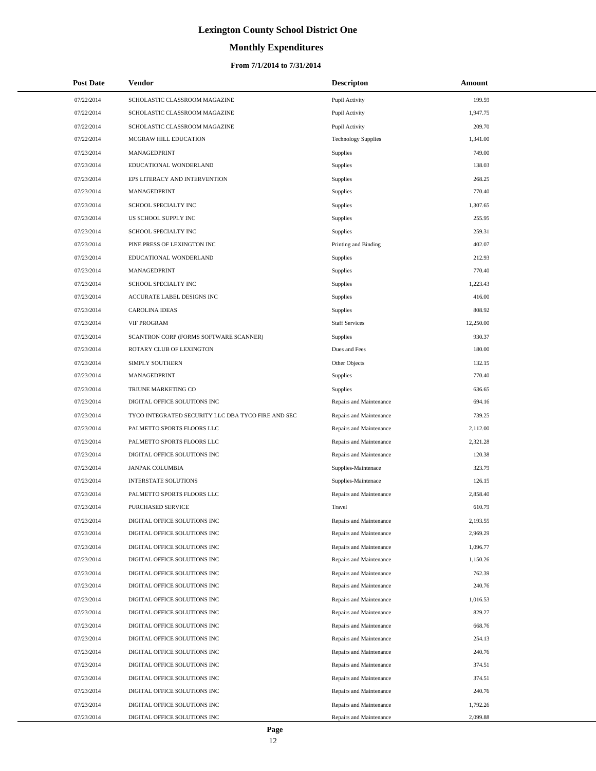# **Monthly Expenditures**

## **From 7/1/2014 to 7/31/2014**

| <b>Post Date</b> | Vendor                                             | <b>Descripton</b>          | Amount    |
|------------------|----------------------------------------------------|----------------------------|-----------|
| 07/22/2014       | SCHOLASTIC CLASSROOM MAGAZINE                      | Pupil Activity             | 199.59    |
| 07/22/2014       | SCHOLASTIC CLASSROOM MAGAZINE                      | Pupil Activity             | 1,947.75  |
| 07/22/2014       | SCHOLASTIC CLASSROOM MAGAZINE                      | Pupil Activity             | 209.70    |
| 07/22/2014       | MCGRAW HILL EDUCATION                              | <b>Technology Supplies</b> | 1,341.00  |
| 07/23/2014       | MANAGEDPRINT                                       | Supplies                   | 749.00    |
| 07/23/2014       | EDUCATIONAL WONDERLAND                             | Supplies                   | 138.03    |
| 07/23/2014       | EPS LITERACY AND INTERVENTION                      | Supplies                   | 268.25    |
| 07/23/2014       | MANAGEDPRINT                                       | Supplies                   | 770.40    |
| 07/23/2014       | SCHOOL SPECIALTY INC                               | <b>Supplies</b>            | 1,307.65  |
| 07/23/2014       | US SCHOOL SUPPLY INC                               | Supplies                   | 255.95    |
| 07/23/2014       | SCHOOL SPECIALTY INC                               | Supplies                   | 259.31    |
| 07/23/2014       | PINE PRESS OF LEXINGTON INC                        | Printing and Binding       | 402.07    |
| 07/23/2014       | EDUCATIONAL WONDERLAND                             | <b>Supplies</b>            | 212.93    |
| 07/23/2014       | MANAGEDPRINT                                       | Supplies                   | 770.40    |
| 07/23/2014       | SCHOOL SPECIALTY INC                               | Supplies                   | 1,223.43  |
| 07/23/2014       | ACCURATE LABEL DESIGNS INC                         | Supplies                   | 416.00    |
| 07/23/2014       | <b>CAROLINA IDEAS</b>                              | <b>Supplies</b>            | 808.92    |
| 07/23/2014       | <b>VIF PROGRAM</b>                                 | <b>Staff Services</b>      | 12,250.00 |
| 07/23/2014       | SCANTRON CORP (FORMS SOFTWARE SCANNER)             | <b>Supplies</b>            | 930.37    |
| 07/23/2014       | ROTARY CLUB OF LEXINGTON                           | Dues and Fees              | 180.00    |
| 07/23/2014       | SIMPLY SOUTHERN                                    | Other Objects              | 132.15    |
| 07/23/2014       | MANAGEDPRINT                                       | Supplies                   | 770.40    |
| 07/23/2014       | TRIUNE MARKETING CO                                | <b>Supplies</b>            | 636.65    |
| 07/23/2014       | DIGITAL OFFICE SOLUTIONS INC                       | Repairs and Maintenance    | 694.16    |
| 07/23/2014       | TYCO INTEGRATED SECURITY LLC DBA TYCO FIRE AND SEC | Repairs and Maintenance    | 739.25    |
| 07/23/2014       | PALMETTO SPORTS FLOORS LLC                         | Repairs and Maintenance    | 2,112.00  |
| 07/23/2014       | PALMETTO SPORTS FLOORS LLC                         | Repairs and Maintenance    | 2,321.28  |
| 07/23/2014       | DIGITAL OFFICE SOLUTIONS INC                       | Repairs and Maintenance    | 120.38    |
| 07/23/2014       | <b>JANPAK COLUMBIA</b>                             | Supplies-Maintenace        | 323.79    |
| 07/23/2014       | <b>INTERSTATE SOLUTIONS</b>                        | Supplies-Maintenace        | 126.15    |
| 07/23/2014       | PALMETTO SPORTS FLOORS LLC                         | Repairs and Maintenance    | 2,858.40  |
| 07/23/2014       | <b>PURCHASED SERVICE</b>                           | Travel                     | 610.79    |
| 07/23/2014       | DIGITAL OFFICE SOLUTIONS INC                       | Repairs and Maintenance    | 2,193.55  |
| 07/23/2014       | DIGITAL OFFICE SOLUTIONS INC                       | Repairs and Maintenance    | 2,969.29  |
| 07/23/2014       | DIGITAL OFFICE SOLUTIONS INC                       | Repairs and Maintenance    | 1,096.77  |
| 07/23/2014       | DIGITAL OFFICE SOLUTIONS INC                       | Repairs and Maintenance    | 1,150.26  |
| 07/23/2014       | DIGITAL OFFICE SOLUTIONS INC                       | Repairs and Maintenance    | 762.39    |
| 07/23/2014       | DIGITAL OFFICE SOLUTIONS INC                       | Repairs and Maintenance    | 240.76    |
| 07/23/2014       | DIGITAL OFFICE SOLUTIONS INC                       | Repairs and Maintenance    | 1,016.53  |
| 07/23/2014       | DIGITAL OFFICE SOLUTIONS INC                       | Repairs and Maintenance    | 829.27    |
| 07/23/2014       | DIGITAL OFFICE SOLUTIONS INC                       | Repairs and Maintenance    | 668.76    |
| 07/23/2014       | DIGITAL OFFICE SOLUTIONS INC                       | Repairs and Maintenance    | 254.13    |
| 07/23/2014       | DIGITAL OFFICE SOLUTIONS INC                       | Repairs and Maintenance    | 240.76    |
| 07/23/2014       | DIGITAL OFFICE SOLUTIONS INC                       | Repairs and Maintenance    | 374.51    |
| 07/23/2014       | DIGITAL OFFICE SOLUTIONS INC                       | Repairs and Maintenance    | 374.51    |
| 07/23/2014       | DIGITAL OFFICE SOLUTIONS INC                       | Repairs and Maintenance    | 240.76    |
| 07/23/2014       | DIGITAL OFFICE SOLUTIONS INC                       | Repairs and Maintenance    | 1,792.26  |
| 07/23/2014       | DIGITAL OFFICE SOLUTIONS INC                       | Repairs and Maintenance    | 2,099.88  |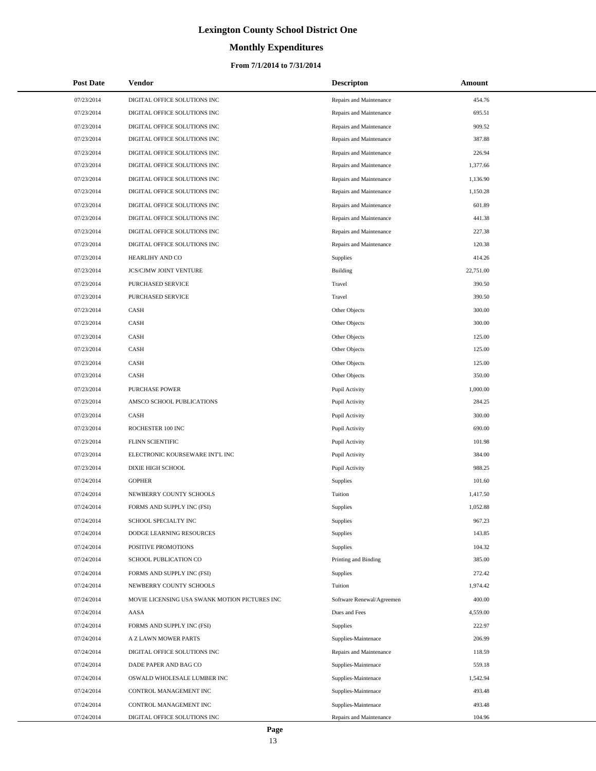# **Monthly Expenditures**

## **From 7/1/2014 to 7/31/2014**

| <b>Post Date</b> | <b>Vendor</b>                                 | <b>Descripton</b>         | Amount    |
|------------------|-----------------------------------------------|---------------------------|-----------|
| 07/23/2014       | DIGITAL OFFICE SOLUTIONS INC                  | Repairs and Maintenance   | 454.76    |
| 07/23/2014       | DIGITAL OFFICE SOLUTIONS INC                  | Repairs and Maintenance   | 695.51    |
| 07/23/2014       | DIGITAL OFFICE SOLUTIONS INC                  | Repairs and Maintenance   | 909.52    |
| 07/23/2014       | DIGITAL OFFICE SOLUTIONS INC                  | Repairs and Maintenance   | 387.88    |
| 07/23/2014       | DIGITAL OFFICE SOLUTIONS INC                  | Repairs and Maintenance   | 226.94    |
| 07/23/2014       | DIGITAL OFFICE SOLUTIONS INC                  | Repairs and Maintenance   | 1,377.66  |
| 07/23/2014       | DIGITAL OFFICE SOLUTIONS INC                  | Repairs and Maintenance   | 1,136.90  |
| 07/23/2014       | DIGITAL OFFICE SOLUTIONS INC                  | Repairs and Maintenance   | 1,150.28  |
| 07/23/2014       | DIGITAL OFFICE SOLUTIONS INC                  | Repairs and Maintenance   | 601.89    |
| 07/23/2014       | DIGITAL OFFICE SOLUTIONS INC                  | Repairs and Maintenance   | 441.38    |
| 07/23/2014       | DIGITAL OFFICE SOLUTIONS INC                  | Repairs and Maintenance   | 227.38    |
| 07/23/2014       | DIGITAL OFFICE SOLUTIONS INC                  | Repairs and Maintenance   | 120.38    |
| 07/23/2014       | HEARLIHY AND CO                               | <b>Supplies</b>           | 414.26    |
| 07/23/2014       | <b>JCS/CJMW JOINT VENTURE</b>                 | <b>Building</b>           | 22,751.00 |
| 07/23/2014       | PURCHASED SERVICE                             | Travel                    | 390.50    |
| 07/23/2014       | PURCHASED SERVICE                             | Travel                    | 390.50    |
| 07/23/2014       | CASH                                          | Other Objects             | 300.00    |
| 07/23/2014       | CASH                                          | Other Objects             | 300.00    |
| 07/23/2014       | CASH                                          | Other Objects             | 125.00    |
| 07/23/2014       | CASH                                          | Other Objects             | 125.00    |
| 07/23/2014       | CASH                                          | Other Objects             | 125.00    |
| 07/23/2014       | CASH                                          | Other Objects             | 350.00    |
| 07/23/2014       | <b>PURCHASE POWER</b>                         | Pupil Activity            | 1,000.00  |
| 07/23/2014       | AMSCO SCHOOL PUBLICATIONS                     | Pupil Activity            | 284.25    |
| 07/23/2014       | CASH                                          | Pupil Activity            | 300.00    |
| 07/23/2014       | ROCHESTER 100 INC                             | Pupil Activity            | 690.00    |
| 07/23/2014       | FLINN SCIENTIFIC                              | Pupil Activity            | 101.98    |
| 07/23/2014       | ELECTRONIC KOURSEWARE INT'L INC               | Pupil Activity            | 384.00    |
| 07/23/2014       | DIXIE HIGH SCHOOL                             | Pupil Activity            | 988.25    |
| 07/24/2014       | <b>GOPHER</b>                                 | <b>Supplies</b>           | 101.60    |
| 07/24/2014       | NEWBERRY COUNTY SCHOOLS                       | Tuition                   | 1,417.50  |
| 07/24/2014       | FORMS AND SUPPLY INC (FSI)                    | <b>Supplies</b>           | 1,052.88  |
| 07/24/2014       | SCHOOL SPECIALTY INC                          | Supplies                  | 967.23    |
| 07/24/2014       | DODGE LEARNING RESOURCES                      | <b>Supplies</b>           | 143.85    |
| 07/24/2014       | POSITIVE PROMOTIONS                           | <b>Supplies</b>           | 104.32    |
| 07/24/2014       | SCHOOL PUBLICATION CO                         | Printing and Binding      | 385.00    |
| 07/24/2014       | FORMS AND SUPPLY INC (FSI)                    | Supplies                  | 272.42    |
| 07/24/2014       | NEWBERRY COUNTY SCHOOLS                       | Tuition                   | 1,974.42  |
| 07/24/2014       | MOVIE LICENSING USA SWANK MOTION PICTURES INC | Software Renewal/Agreemen | 400.00    |
| 07/24/2014       | AASA                                          | Dues and Fees             | 4,559.00  |
| 07/24/2014       | FORMS AND SUPPLY INC (FSI)                    | <b>Supplies</b>           | 222.97    |
| 07/24/2014       | A Z LAWN MOWER PARTS                          | Supplies-Maintenace       | 206.99    |
| 07/24/2014       | DIGITAL OFFICE SOLUTIONS INC                  | Repairs and Maintenance   | 118.59    |
| 07/24/2014       | DADE PAPER AND BAG CO                         | Supplies-Maintenace       | 559.18    |
| 07/24/2014       | OSWALD WHOLESALE LUMBER INC                   | Supplies-Maintenace       | 1,542.94  |
| 07/24/2014       | CONTROL MANAGEMENT INC                        | Supplies-Maintenace       | 493.48    |
| 07/24/2014       | CONTROL MANAGEMENT INC                        | Supplies-Maintenace       | 493.48    |
| 07/24/2014       | DIGITAL OFFICE SOLUTIONS INC                  | Repairs and Maintenance   | 104.96    |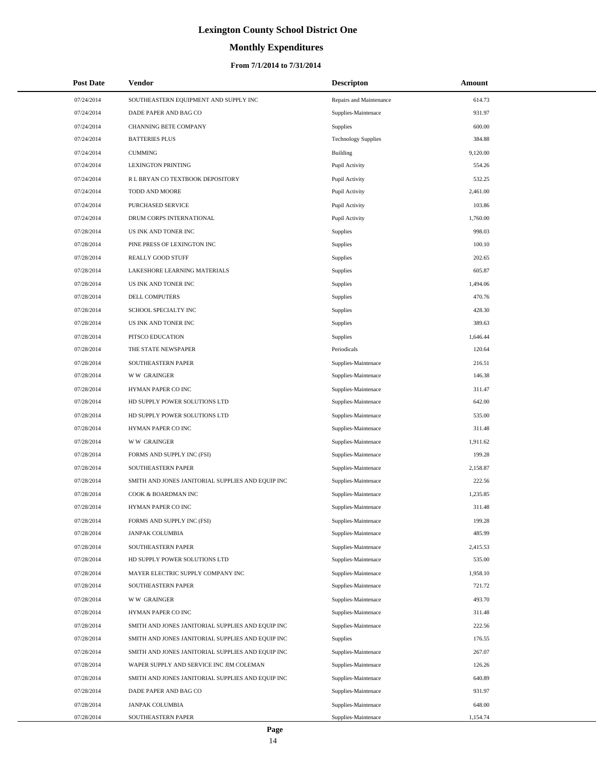# **Monthly Expenditures**

## **From 7/1/2014 to 7/31/2014**

| <b>Post Date</b> | <b>Vendor</b>                                     | <b>Descripton</b>          | Amount   |  |
|------------------|---------------------------------------------------|----------------------------|----------|--|
| 07/24/2014       | SOUTHEASTERN EQUIPMENT AND SUPPLY INC             | Repairs and Maintenance    | 614.73   |  |
| 07/24/2014       | DADE PAPER AND BAG CO                             | Supplies-Maintenace        | 931.97   |  |
| 07/24/2014       | <b>CHANNING BETE COMPANY</b>                      | <b>Supplies</b>            | 600.00   |  |
| 07/24/2014       | <b>BATTERIES PLUS</b>                             | <b>Technology Supplies</b> | 384.88   |  |
| 07/24/2014       | <b>CUMMING</b>                                    | Building                   | 9,120.00 |  |
| 07/24/2014       | <b>LEXINGTON PRINTING</b>                         | Pupil Activity             | 554.26   |  |
| 07/24/2014       | R L BRYAN CO TEXTBOOK DEPOSITORY                  | Pupil Activity             | 532.25   |  |
| 07/24/2014       | TODD AND MOORE                                    | Pupil Activity             | 2,461.00 |  |
| 07/24/2014       | PURCHASED SERVICE                                 | Pupil Activity             | 103.86   |  |
| 07/24/2014       | DRUM CORPS INTERNATIONAL                          | Pupil Activity             | 1,760.00 |  |
| 07/28/2014       | US INK AND TONER INC                              | Supplies                   | 998.03   |  |
| 07/28/2014       | PINE PRESS OF LEXINGTON INC                       | Supplies                   | 100.10   |  |
| 07/28/2014       | REALLY GOOD STUFF                                 | Supplies                   | 202.65   |  |
| 07/28/2014       | LAKESHORE LEARNING MATERIALS                      | Supplies                   | 605.87   |  |
| 07/28/2014       | US INK AND TONER INC                              | Supplies                   | 1,494.06 |  |
| 07/28/2014       | DELL COMPUTERS                                    | Supplies                   | 470.76   |  |
| 07/28/2014       | SCHOOL SPECIALTY INC                              | Supplies                   | 428.30   |  |
| 07/28/2014       | US INK AND TONER INC                              | Supplies                   | 389.63   |  |
| 07/28/2014       | PITSCO EDUCATION                                  | Supplies                   | 1,646.44 |  |
| 07/28/2014       | THE STATE NEWSPAPER                               | Periodicals                | 120.64   |  |
| 07/28/2014       | SOUTHEASTERN PAPER                                | Supplies-Maintenace        | 216.51   |  |
| 07/28/2014       | <b>WW GRAINGER</b>                                | Supplies-Maintenace        | 146.38   |  |
| 07/28/2014       | HYMAN PAPER CO INC                                | Supplies-Maintenace        | 311.47   |  |
| 07/28/2014       | HD SUPPLY POWER SOLUTIONS LTD                     | Supplies-Maintenace        | 642.00   |  |
| 07/28/2014       | HD SUPPLY POWER SOLUTIONS LTD                     | Supplies-Maintenace        | 535.00   |  |
| 07/28/2014       | HYMAN PAPER CO INC                                | Supplies-Maintenace        | 311.48   |  |
| 07/28/2014       | <b>WW GRAINGER</b>                                | Supplies-Maintenace        | 1,911.62 |  |
| 07/28/2014       | FORMS AND SUPPLY INC (FSI)                        | Supplies-Maintenace        | 199.28   |  |
| 07/28/2014       | SOUTHEASTERN PAPER                                | Supplies-Maintenace        | 2,158.87 |  |
| 07/28/2014       | SMITH AND JONES JANITORIAL SUPPLIES AND EQUIP INC | Supplies-Maintenace        | 222.56   |  |
| 07/28/2014       | COOK & BOARDMAN INC                               | Supplies-Maintenace        | 1,235.85 |  |
| 07/28/2014       | HYMAN PAPER CO INC                                | Supplies-Maintenace        | 311.48   |  |
| 07/28/2014       | FORMS AND SUPPLY INC (FSI)                        | Supplies-Maintenace        | 199.28   |  |
| 07/28/2014       | JANPAK COLUMBIA                                   | Supplies-Maintenace        | 485.99   |  |
| 07/28/2014       | SOUTHEASTERN PAPER                                | Supplies-Maintenace        | 2,415.53 |  |
| 07/28/2014       | HD SUPPLY POWER SOLUTIONS LTD                     | Supplies-Maintenace        | 535.00   |  |
| 07/28/2014       | MAYER ELECTRIC SUPPLY COMPANY INC                 | Supplies-Maintenace        | 1,958.10 |  |
| 07/28/2014       | SOUTHEASTERN PAPER                                | Supplies-Maintenace        | 721.72   |  |
| 07/28/2014       | <b>WW GRAINGER</b>                                | Supplies-Maintenace        | 493.70   |  |
| 07/28/2014       | HYMAN PAPER CO INC                                | Supplies-Maintenace        | 311.48   |  |
| 07/28/2014       | SMITH AND JONES JANITORIAL SUPPLIES AND EQUIP INC | Supplies-Maintenace        | 222.56   |  |
| 07/28/2014       | SMITH AND JONES JANITORIAL SUPPLIES AND EQUIP INC | <b>Supplies</b>            | 176.55   |  |
| 07/28/2014       | SMITH AND JONES JANITORIAL SUPPLIES AND EQUIP INC | Supplies-Maintenace        | 267.07   |  |
| 07/28/2014       | WAPER SUPPLY AND SERVICE INC JIM COLEMAN          | Supplies-Maintenace        | 126.26   |  |
| 07/28/2014       | SMITH AND JONES JANITORIAL SUPPLIES AND EQUIP INC | Supplies-Maintenace        | 640.89   |  |
| 07/28/2014       | DADE PAPER AND BAG CO                             | Supplies-Maintenace        | 931.97   |  |
| 07/28/2014       | JANPAK COLUMBIA                                   | Supplies-Maintenace        | 648.00   |  |
| 07/28/2014       | SOUTHEASTERN PAPER                                | Supplies-Maintenace        | 1,154.74 |  |

L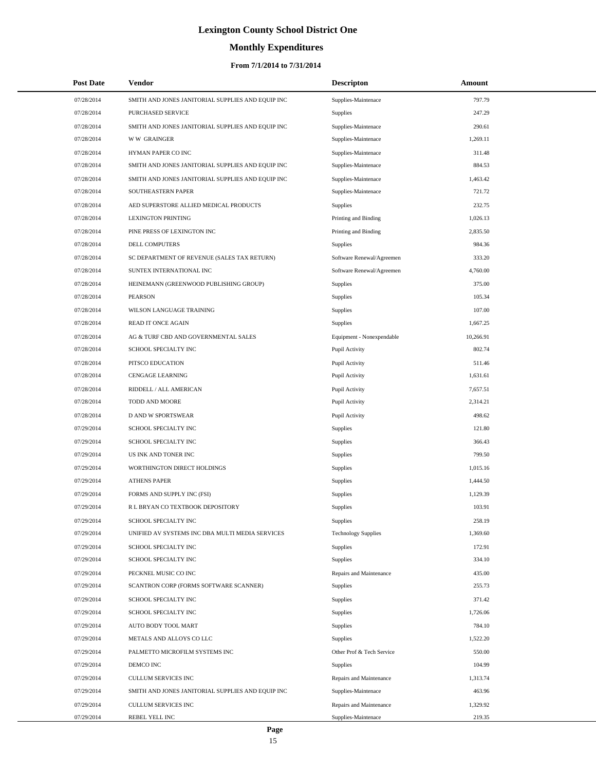# **Monthly Expenditures**

| <b>Post Date</b> | Vendor                                            | <b>Descripton</b>          | Amount    |
|------------------|---------------------------------------------------|----------------------------|-----------|
| 07/28/2014       | SMITH AND JONES JANITORIAL SUPPLIES AND EQUIP INC | Supplies-Maintenace        | 797.79    |
| 07/28/2014       | PURCHASED SERVICE                                 | Supplies                   | 247.29    |
| 07/28/2014       | SMITH AND JONES JANITORIAL SUPPLIES AND EQUIP INC | Supplies-Maintenace        | 290.61    |
| 07/28/2014       | <b>WW GRAINGER</b>                                | Supplies-Maintenace        | 1,269.11  |
| 07/28/2014       | HYMAN PAPER CO INC                                | Supplies-Maintenace        | 311.48    |
| 07/28/2014       | SMITH AND JONES JANITORIAL SUPPLIES AND EQUIP INC | Supplies-Maintenace        | 884.53    |
| 07/28/2014       | SMITH AND JONES JANITORIAL SUPPLIES AND EQUIP INC | Supplies-Maintenace        | 1,463.42  |
| 07/28/2014       | SOUTHEASTERN PAPER                                | Supplies-Maintenace        | 721.72    |
| 07/28/2014       | AED SUPERSTORE ALLIED MEDICAL PRODUCTS            | <b>Supplies</b>            | 232.75    |
| 07/28/2014       | <b>LEXINGTON PRINTING</b>                         | Printing and Binding       | 1,026.13  |
| 07/28/2014       | PINE PRESS OF LEXINGTON INC                       | Printing and Binding       | 2,835.50  |
| 07/28/2014       | DELL COMPUTERS                                    | <b>Supplies</b>            | 984.36    |
| 07/28/2014       | SC DEPARTMENT OF REVENUE (SALES TAX RETURN)       | Software Renewal/Agreemen  | 333.20    |
| 07/28/2014       | SUNTEX INTERNATIONAL INC                          | Software Renewal/Agreemen  | 4,760.00  |
| 07/28/2014       | HEINEMANN (GREENWOOD PUBLISHING GROUP)            | <b>Supplies</b>            | 375.00    |
| 07/28/2014       | <b>PEARSON</b>                                    | Supplies                   | 105.34    |
| 07/28/2014       | WILSON LANGUAGE TRAINING                          | Supplies                   | 107.00    |
| 07/28/2014       | READ IT ONCE AGAIN                                | Supplies                   | 1,667.25  |
| 07/28/2014       | AG & TURF CBD AND GOVERNMENTAL SALES              | Equipment - Nonexpendable  | 10,266.91 |
| 07/28/2014       | SCHOOL SPECIALTY INC                              | Pupil Activity             | 802.74    |
| 07/28/2014       | PITSCO EDUCATION                                  | Pupil Activity             | 511.46    |
| 07/28/2014       | CENGAGE LEARNING                                  | Pupil Activity             | 1,631.61  |
| 07/28/2014       | RIDDELL / ALL AMERICAN                            | Pupil Activity             | 7,657.51  |
| 07/28/2014       | TODD AND MOORE                                    | Pupil Activity             | 2,314.21  |
| 07/28/2014       | <b>D AND W SPORTSWEAR</b>                         | Pupil Activity             | 498.62    |
| 07/29/2014       | SCHOOL SPECIALTY INC                              | Supplies                   | 121.80    |
| 07/29/2014       | SCHOOL SPECIALTY INC                              | Supplies                   | 366.43    |
| 07/29/2014       | US INK AND TONER INC                              | Supplies                   | 799.50    |
| 07/29/2014       | WORTHINGTON DIRECT HOLDINGS                       | Supplies                   | 1,015.16  |
| 07/29/2014       | <b>ATHENS PAPER</b>                               | Supplies                   | 1,444.50  |
| 07/29/2014       | FORMS AND SUPPLY INC (FSI)                        | Supplies                   | 1,129.39  |
| 07/29/2014       | R L BRYAN CO TEXTBOOK DEPOSITORY                  | Supplies                   | 103.91    |
| 07/29/2014       | SCHOOL SPECIALTY INC                              | Supplies                   | 258.19    |
| 07/29/2014       | UNIFIED AV SYSTEMS INC DBA MULTI MEDIA SERVICES   | <b>Technology Supplies</b> | 1,369.60  |
| 07/29/2014       | SCHOOL SPECIALTY INC                              | Supplies                   | 172.91    |
| 07/29/2014       | SCHOOL SPECIALTY INC                              | Supplies                   | 334.10    |
| 07/29/2014       | PECKNEL MUSIC CO INC                              | Repairs and Maintenance    | 435.00    |
| 07/29/2014       | SCANTRON CORP (FORMS SOFTWARE SCANNER)            | Supplies                   | 255.73    |
| 07/29/2014       | SCHOOL SPECIALTY INC                              | Supplies                   | 371.42    |
| 07/29/2014       | SCHOOL SPECIALTY INC                              | Supplies                   | 1,726.06  |
| 07/29/2014       | AUTO BODY TOOL MART                               | Supplies                   | 784.10    |
| 07/29/2014       | METALS AND ALLOYS CO LLC                          | Supplies                   | 1,522.20  |
| 07/29/2014       | PALMETTO MICROFILM SYSTEMS INC                    | Other Prof & Tech Service  | 550.00    |
| 07/29/2014       | DEMCO INC                                         | Supplies                   | 104.99    |
| 07/29/2014       | CULLUM SERVICES INC                               | Repairs and Maintenance    | 1,313.74  |
| 07/29/2014       | SMITH AND JONES JANITORIAL SUPPLIES AND EQUIP INC | Supplies-Maintenace        | 463.96    |
| 07/29/2014       | CULLUM SERVICES INC                               | Repairs and Maintenance    | 1,329.92  |
| 07/29/2014       | REBEL YELL INC                                    | Supplies-Maintenace        | 219.35    |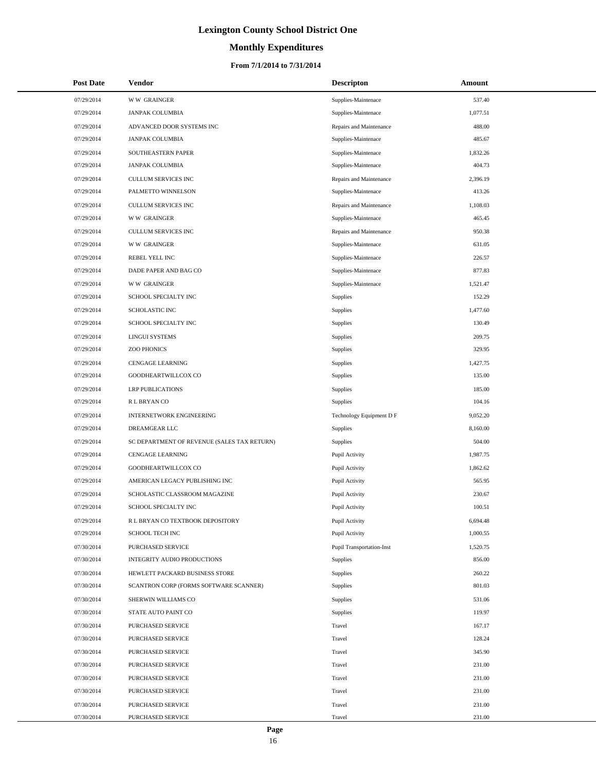# **Monthly Expenditures**

### **From 7/1/2014 to 7/31/2014**

| <b>Post Date</b> | Vendor                                      | <b>Descripton</b>                | Amount   |
|------------------|---------------------------------------------|----------------------------------|----------|
| 07/29/2014       | <b>WW GRAINGER</b>                          | Supplies-Maintenace              | 537.40   |
| 07/29/2014       | <b>JANPAK COLUMBIA</b>                      | Supplies-Maintenace              | 1,077.51 |
| 07/29/2014       | ADVANCED DOOR SYSTEMS INC                   | Repairs and Maintenance          | 488.00   |
| 07/29/2014       | <b>JANPAK COLUMBIA</b>                      | Supplies-Maintenace              | 485.67   |
| 07/29/2014       | SOUTHEASTERN PAPER                          | Supplies-Maintenace              | 1,832.26 |
| 07/29/2014       | <b>JANPAK COLUMBIA</b>                      | Supplies-Maintenace              | 404.73   |
| 07/29/2014       | CULLUM SERVICES INC                         | Repairs and Maintenance          | 2,396.19 |
| 07/29/2014       | PALMETTO WINNELSON                          | Supplies-Maintenace              | 413.26   |
| 07/29/2014       | CULLUM SERVICES INC                         | Repairs and Maintenance          | 1,108.03 |
| 07/29/2014       | <b>WW GRAINGER</b>                          | Supplies-Maintenace              | 465.45   |
| 07/29/2014       | CULLUM SERVICES INC                         | Repairs and Maintenance          | 950.38   |
| 07/29/2014       | <b>WW GRAINGER</b>                          | Supplies-Maintenace              | 631.05   |
| 07/29/2014       | REBEL YELL INC                              | Supplies-Maintenace              | 226.57   |
| 07/29/2014       | DADE PAPER AND BAG CO                       | Supplies-Maintenace              | 877.83   |
| 07/29/2014       | <b>WW GRAINGER</b>                          | Supplies-Maintenace              | 1,521.47 |
| 07/29/2014       | <b>SCHOOL SPECIALTY INC</b>                 | Supplies                         | 152.29   |
| 07/29/2014       | <b>SCHOLASTIC INC</b>                       | Supplies                         | 1,477.60 |
| 07/29/2014       | SCHOOL SPECIALTY INC                        | Supplies                         | 130.49   |
| 07/29/2014       | <b>LINGUI SYSTEMS</b>                       | Supplies                         | 209.75   |
| 07/29/2014       | <b>ZOO PHONICS</b>                          | Supplies                         | 329.95   |
| 07/29/2014       | <b>CENGAGE LEARNING</b>                     | Supplies                         | 1,427.75 |
| 07/29/2014       | GOODHEARTWILLCOX CO                         | Supplies                         | 135.00   |
| 07/29/2014       | <b>LRP PUBLICATIONS</b>                     | Supplies                         | 185.00   |
| 07/29/2014       | R L BRYAN CO                                | Supplies                         | 104.16   |
| 07/29/2014       | <b>INTERNETWORK ENGINEERING</b>             | Technology Equipment D F         | 9,052.20 |
| 07/29/2014       | DREAMGEAR LLC                               | Supplies                         | 8,160.00 |
| 07/29/2014       | SC DEPARTMENT OF REVENUE (SALES TAX RETURN) | Supplies                         | 504.00   |
| 07/29/2014       | <b>CENGAGE LEARNING</b>                     | Pupil Activity                   | 1,987.75 |
| 07/29/2014       | GOODHEARTWILLCOX CO                         | Pupil Activity                   | 1,862.62 |
| 07/29/2014       | AMERICAN LEGACY PUBLISHING INC              | Pupil Activity                   | 565.95   |
| 07/29/2014       | SCHOLASTIC CLASSROOM MAGAZINE               | Pupil Activity                   | 230.67   |
| 07/29/2014       | SCHOOL SPECIALTY INC                        | Pupil Activity                   | 100.51   |
| 07/29/2014       | R L BRYAN CO TEXTBOOK DEPOSITORY            | Pupil Activity                   | 6,694.48 |
| 07/29/2014       | <b>SCHOOL TECH INC</b>                      | Pupil Activity                   | 1,000.55 |
| 07/30/2014       | PURCHASED SERVICE                           | <b>Pupil Transportation-Inst</b> | 1,520.75 |
| 07/30/2014       | INTEGRITY AUDIO PRODUCTIONS                 | Supplies                         | 856.00   |
| 07/30/2014       | HEWLETT PACKARD BUSINESS STORE              | Supplies                         | 260.22   |
| 07/30/2014       | SCANTRON CORP (FORMS SOFTWARE SCANNER)      | Supplies                         | 801.03   |
| 07/30/2014       | SHERWIN WILLIAMS CO                         | Supplies                         | 531.06   |
| 07/30/2014       | STATE AUTO PAINT CO                         | Supplies                         | 119.97   |
| 07/30/2014       | PURCHASED SERVICE                           | Travel                           | 167.17   |
| 07/30/2014       | PURCHASED SERVICE                           | Travel                           | 128.24   |
| 07/30/2014       | PURCHASED SERVICE                           | Travel                           | 345.90   |
| 07/30/2014       | PURCHASED SERVICE                           | Travel                           | 231.00   |
| 07/30/2014       | PURCHASED SERVICE                           | Travel                           | 231.00   |
| 07/30/2014       | PURCHASED SERVICE                           | Travel                           | 231.00   |
| 07/30/2014       | PURCHASED SERVICE                           | Travel                           | 231.00   |
| 07/30/2014       | PURCHASED SERVICE                           | Travel                           | 231.00   |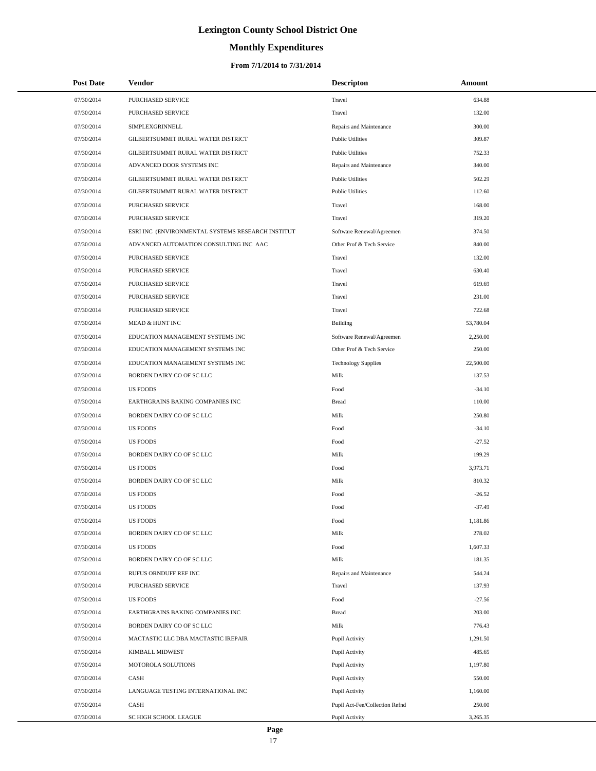# **Monthly Expenditures**

| <b>Post Date</b> | <b>Vendor</b>                                     | <b>Descripton</b>              | Amount    |
|------------------|---------------------------------------------------|--------------------------------|-----------|
| 07/30/2014       | PURCHASED SERVICE                                 | Travel                         | 634.88    |
| 07/30/2014       | PURCHASED SERVICE                                 | Travel                         | 132.00    |
| 07/30/2014       | SIMPLEXGRINNELL                                   | Repairs and Maintenance        | 300.00    |
| 07/30/2014       | GILBERTSUMMIT RURAL WATER DISTRICT                | <b>Public Utilities</b>        | 309.87    |
| 07/30/2014       | GILBERTSUMMIT RURAL WATER DISTRICT                | <b>Public Utilities</b>        | 752.33    |
| 07/30/2014       | ADVANCED DOOR SYSTEMS INC                         | Repairs and Maintenance        | 340.00    |
| 07/30/2014       | GILBERTSUMMIT RURAL WATER DISTRICT                | <b>Public Utilities</b>        | 502.29    |
| 07/30/2014       | GILBERTSUMMIT RURAL WATER DISTRICT                | <b>Public Utilities</b>        | 112.60    |
| 07/30/2014       | PURCHASED SERVICE                                 | Travel                         | 168.00    |
| 07/30/2014       | PURCHASED SERVICE                                 | Travel                         | 319.20    |
| 07/30/2014       | ESRI INC (ENVIRONMENTAL SYSTEMS RESEARCH INSTITUT | Software Renewal/Agreemen      | 374.50    |
| 07/30/2014       | ADVANCED AUTOMATION CONSULTING INC AAC            | Other Prof & Tech Service      | 840.00    |
| 07/30/2014       | PURCHASED SERVICE                                 | Travel                         | 132.00    |
| 07/30/2014       | PURCHASED SERVICE                                 | Travel                         | 630.40    |
| 07/30/2014       | PURCHASED SERVICE                                 | Travel                         | 619.69    |
| 07/30/2014       | PURCHASED SERVICE                                 | Travel                         | 231.00    |
| 07/30/2014       | PURCHASED SERVICE                                 | Travel                         | 722.68    |
| 07/30/2014       | MEAD & HUNT INC                                   | Building                       | 53,780.04 |
| 07/30/2014       | EDUCATION MANAGEMENT SYSTEMS INC                  | Software Renewal/Agreemen      | 2,250.00  |
| 07/30/2014       | EDUCATION MANAGEMENT SYSTEMS INC                  | Other Prof & Tech Service      | 250.00    |
| 07/30/2014       | EDUCATION MANAGEMENT SYSTEMS INC                  | <b>Technology Supplies</b>     | 22,500.00 |
| 07/30/2014       | BORDEN DAIRY CO OF SC LLC                         | Milk                           | 137.53    |
| 07/30/2014       | <b>US FOODS</b>                                   | $\operatorname*{Food}$         | $-34.10$  |
| 07/30/2014       | EARTHGRAINS BAKING COMPANIES INC                  | <b>Bread</b>                   | 110.00    |
| 07/30/2014       | BORDEN DAIRY CO OF SC LLC                         | Milk                           | 250.80    |
| 07/30/2014       | <b>US FOODS</b>                                   | Food                           | $-34.10$  |
| 07/30/2014       | <b>US FOODS</b>                                   | Food                           | $-27.52$  |
| 07/30/2014       | BORDEN DAIRY CO OF SC LLC                         | Milk                           | 199.29    |
| 07/30/2014       | <b>US FOODS</b>                                   | Food                           | 3,973.71  |
| 07/30/2014       | BORDEN DAIRY CO OF SC LLC                         | Milk                           | 810.32    |
| 07/30/2014       | <b>US FOODS</b>                                   | Food                           | $-26.52$  |
| 07/30/2014       | <b>US FOODS</b>                                   | Food                           | $-37.49$  |
| 07/30/2014       | <b>US FOODS</b>                                   | Food                           | 1,181.86  |
| 07/30/2014       | BORDEN DAIRY CO OF SC LLC                         | Milk                           | 278.02    |
| 07/30/2014       | <b>US FOODS</b>                                   | Food                           | 1,607.33  |
| 07/30/2014       | BORDEN DAIRY CO OF SC LLC                         | Milk                           | 181.35    |
| 07/30/2014       | RUFUS ORNDUFF REF INC                             | Repairs and Maintenance        | 544.24    |
| 07/30/2014       | <b>PURCHASED SERVICE</b>                          | Travel                         | 137.93    |
| 07/30/2014       | <b>US FOODS</b>                                   | Food                           | $-27.56$  |
| 07/30/2014       | EARTHGRAINS BAKING COMPANIES INC                  | <b>Bread</b>                   | 203.00    |
| 07/30/2014       | BORDEN DAIRY CO OF SC LLC                         | Milk                           | 776.43    |
| 07/30/2014       | MACTASTIC LLC DBA MACTASTIC IREPAIR               | Pupil Activity                 | 1,291.50  |
| 07/30/2014       | KIMBALL MIDWEST                                   | Pupil Activity                 | 485.65    |
| 07/30/2014       | MOTOROLA SOLUTIONS                                | Pupil Activity                 | 1,197.80  |
| 07/30/2014       | CASH                                              | Pupil Activity                 | 550.00    |
| 07/30/2014       | LANGUAGE TESTING INTERNATIONAL INC                | Pupil Activity                 | 1,160.00  |
| 07/30/2014       | CASH                                              | Pupil Act-Fee/Collection Refnd | 250.00    |
| 07/30/2014       | SC HIGH SCHOOL LEAGUE                             | Pupil Activity                 | 3,265.35  |